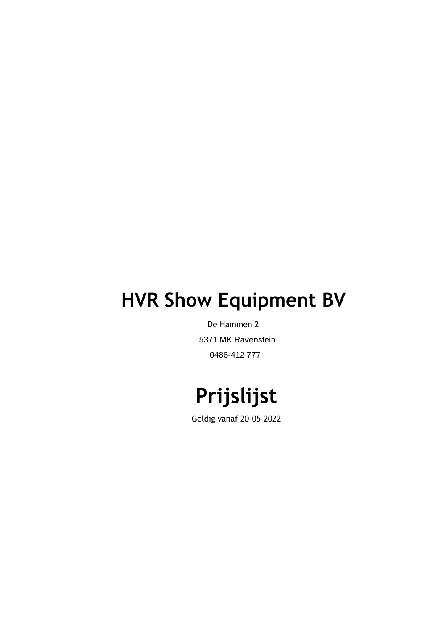# **HVR Show Equipment BV**

De Hammen 2 5371 MK Ravenstein 0486-412 777

# **Prijslijst**

Geldig vanaf 20-05-2022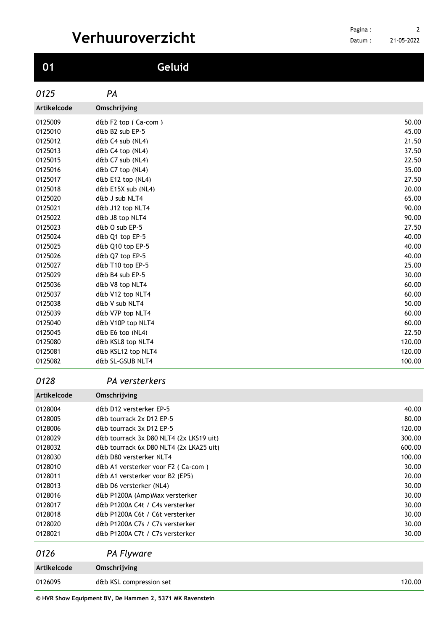| $\bf{0}1$          | Geluid                                                             |                  |
|--------------------|--------------------------------------------------------------------|------------------|
| 0125               | PA                                                                 |                  |
| Artikelcode        | Omschrijving                                                       |                  |
| 0125009            | $dth$ F2 top (Ca-com)                                              | 50.00            |
| 0125010            | d&b B2 sub EP-5                                                    | 45.00            |
| 0125012            | d&b C4 sub (NL4)                                                   | 21.50            |
| 0125013            | d&b C4 top (NL4)                                                   | 37.50            |
| 0125015            | d&b C7 sub (NL4)                                                   | 22.50            |
| 0125016            | d&b C7 top (NL4)                                                   | 35.00            |
| 0125017            | d&b E12 top (NL4)                                                  | 27.50            |
| 0125018            | d&b E15X sub (NL4)                                                 | 20.00<br>65.00   |
| 0125020<br>0125021 | d&b J sub NLT4<br>d&b J12 top NLT4                                 | 90.00            |
| 0125022            | d&b J8 top NLT4                                                    | 90.00            |
| 0125023            | d&b Q sub EP-5                                                     | 27.50            |
| 0125024            | d&b Q1 top EP-5                                                    | 40.00            |
| 0125025            | d&b Q10 top EP-5                                                   | 40.00            |
| 0125026            | d&b Q7 top EP-5                                                    | 40.00            |
| 0125027            | d&b T10 top EP-5                                                   | 25.00            |
| 0125029            | d&b B4 sub EP-5                                                    | 30.00            |
| 0125036            | d&b V8 top NLT4                                                    | 60.00            |
| 0125037            | d&b V12 top NLT4                                                   | 60.00            |
| 0125038            | d&b V sub NLT4                                                     | 50.00            |
| 0125039            | d&b V7P top NLT4                                                   | 60.00            |
| 0125040            | d&b V10P top NLT4                                                  | 60.00            |
| 0125045            | d&b E6 top (NL4)                                                   | 22.50            |
| 0125080<br>0125081 | d&b KSL8 top NLT4<br>d&b KSL12 top NLT4                            | 120.00<br>120.00 |
| 0125082            | d&b SL-GSUB NLT4                                                   | 100.00           |
|                    |                                                                    |                  |
| 0128               | PA versterkers                                                     |                  |
| Artikelcode        | Omschrijving                                                       |                  |
| 0128004            | d&b D12 versterker EP-5                                            | 40.00            |
| 0128005            | d&b tourrack 2x D12 EP-5                                           | 80.00            |
| 0128006            | d&b tourrack 3x D12 EP-5                                           | 120.00           |
| 0128029            | d&b tourrack 3x D80 NLT4 (2x LKS19 uit)                            | 300.00           |
| 0128032<br>0128030 | d&b tourrack 6x D80 NLT4 (2x LKA25 uit)<br>d&b D80 versterker NLT4 | 600.00<br>100.00 |
| 0128010            | d&b A1 versterker voor F2 (Ca-com)                                 | 30.00            |
| 0128011            | d&b A1 versterker voor B2 (EP5)                                    | 20.00            |
| 0128013            | d&b D6 versterker (NL4)                                            | 30.00            |
| 0128016            | d&b P1200A (Amp)Max versterker                                     | 30.00            |
| 0128017            | d&b P1200A C4t / C4s versterker                                    | 30.00            |
| 0128018            | d&b P1200A C6t / C6t versterker                                    | 30.00            |
| 0128020            | d&b P1200A C7s / C7s versterker                                    | 30.00            |
| 0128021            | d&b P1200A C7t / C7s versterker                                    | 30.00            |
| 0126               | <b>PA Flyware</b>                                                  |                  |
| Artikelcode        | Omschrijving                                                       |                  |
| 0126095            | d&b KSL compression set                                            | 120.00           |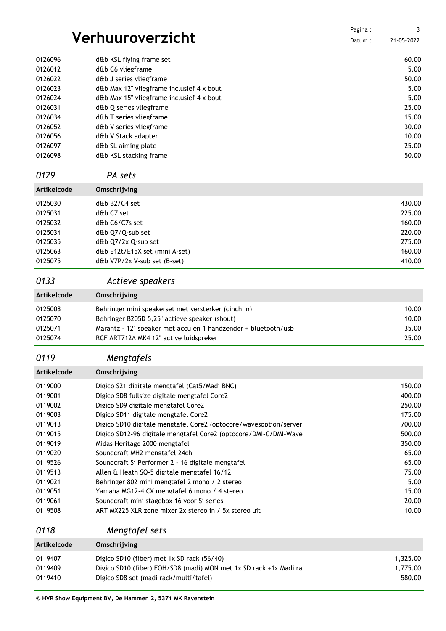|                    |                                                                   | Pagina: | 3             |
|--------------------|-------------------------------------------------------------------|---------|---------------|
|                    | Verhuuroverzicht                                                  | Datum:  | 21-05-2022    |
|                    |                                                                   |         |               |
| 0126096            | d&b KSL flying frame set<br>d&b C6 vliegframe                     |         | 60.00<br>5.00 |
| 0126012<br>0126022 | d&b J series vliegframe                                           |         | 50.00         |
| 0126023            | d&b Max 12" vliegframe inclusief 4 x bout                         |         | 5.00          |
| 0126024            | d&b Max 15" vliegframe inclusief 4 x bout                         |         | 5.00          |
| 0126031            | d&b Q series vliegframe                                           |         | 25.00         |
| 0126034            | d&b T series vliegframe                                           |         | 15.00         |
| 0126052            | d&b V series vliegframe                                           |         | 30.00         |
| 0126056            | d&b V Stack adapter                                               |         | 10.00         |
| 0126097            | d&b SL aiming plate                                               |         | 25.00         |
| 0126098            | d&b KSL stacking frame                                            |         | 50.00         |
| 0129               | PA sets                                                           |         |               |
| Artikelcode        | Omschrijving                                                      |         |               |
| 0125030            | d&b B2/C4 set                                                     |         | 430.00        |
| 0125031            | d&b C7 set                                                        |         | 225.00        |
| 0125032            | d&b C6/C7s set                                                    |         | 160.00        |
| 0125034            | d&b Q7/Q-sub set                                                  |         | 220.00        |
| 0125035            | d&b Q7/2x Q-sub set                                               |         | 275.00        |
| 0125063            | d&b E12t/E15X set (mini A-set)                                    |         | 160.00        |
| 0125075            | d&b V7P/2x V-sub set (B-set)                                      |         | 410.00        |
| 0133               | Actieve speakers                                                  |         |               |
| Artikelcode        | Omschrijving                                                      |         |               |
| 0125008            | Behringer mini speakerset met versterker (cinch in)               |         | 10.00         |
| 0125070            | Behringer B205D 5,25" actieve speaker (shout)                     |         | 10.00         |
| 0125071            | Marantz - 12" speaker met accu en 1 handzender + bluetooth/usb    |         | 35.00         |
| 0125074            | RCF ART712A MK4 12" active luidspreker                            |         | 25.00         |
| 0119               | Mengtafels                                                        |         |               |
| Artikelcode        | Omschrijving                                                      |         |               |
| 0119000            | Digico S21 digitale mengtafel (Cat5/Madi BNC)                     |         | 150.00        |
| 0119001            | Digico SD8 fullsize digitale mengtafel Core2                      |         | 400.00        |
| 0119002            | Digico SD9 digitale mengtafel Core2                               |         | 250.00        |
| 0119003            | Digico SD11 digitale mengtafel Core2                              |         | 175.00        |
| 0119013            | Digico SD10 digitale mengtafel Core2 (optocore/wavesoption/server |         | 700.00        |
| 0119015            | Digico SD12-96 digitale mengtafel Core2 (optocore/DMI-C/DMI-Wave  |         | 500.00        |
| 0119019            | Midas Heritage 2000 mengtafel                                     |         | 350.00        |
| 0119020            | Soundcraft MH2 mengtafel 24ch                                     |         | 65.00         |
| 0119526            | Soundcraft Si Performer 2 - 16 digitale mengtafel                 |         | 65.00         |
| 0119513            | Allen & Heath SQ-5 digitale mengtafel 16/12                       |         | 75.00         |
| 0119021            | Behringer 802 mini mengtafel 2 mono / 2 stereo                    |         | 5.00          |
| 0119051            | Yamaha MG12-4 CX mengtafel 6 mono / 4 stereo                      |         | 15.00         |
| 0119061            | Soundcraft mini stagebox 16 yoor Si series                        |         | 20.00         |
| 0119508            | ART MX225 XLR zone mixer 2x stereo in / 5x stereo uit             |         | 10.00         |
| 0118               | Mengtafel sets                                                    |         |               |
| Artikelcode        | Omschrijving                                                      |         |               |
| 0119407            | Digico SD10 (fiber) met 1x SD rack (56/40)                        |         | 1,325.00      |
| 0119409            | Digico SD10 (fiber) FOH/SD8 (madi) MON met 1x SD rack +1x Madi ra |         | 1,775.00      |

0119410 Digico SD8 set (madi rack/multi/tafel) 680.00

###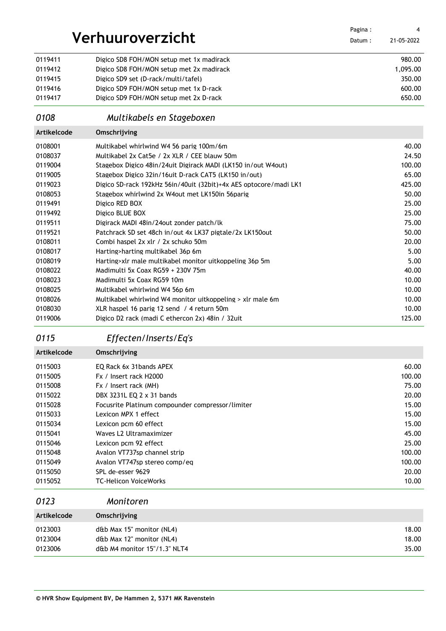| Verhuuroverzicht |                                                                   | Pagina:<br>Datum: | 4<br>21-05-2022 |
|------------------|-------------------------------------------------------------------|-------------------|-----------------|
|                  |                                                                   |                   |                 |
| 0119411          | Digico SD8 FOH/MON setup met 1x madirack                          |                   | 980.00          |
| 0119412          | Digico SD8 FOH/MON setup met 2x madirack                          |                   | 1,095.00        |
| 0119415          | Digico SD9 set (D-rack/multi/tafel)                               |                   | 350.00          |
| 0119416          | Digico SD9 FOH/MON setup met 1x D-rack                            |                   | 600.00          |
| 0119417          | Digico SD9 FOH/MON setup met 2x D-rack                            |                   | 650.00          |
| 0108             | Multikabels en Stageboxen                                         |                   |                 |
| Artikelcode      | Omschrijving                                                      |                   |                 |
| 0108001          | Multikabel whirlwind W4 56 parig 100m/6m                          |                   | 40.00           |
| 0108037          | Multikabel 2x Cat5e / 2x XLR / CEE blauw 50m                      |                   | 24.50           |
| 0119004          | Stagebox Digico 48in/24uit Digirack MADI (LK150 in/out W4out)     |                   | 100.00          |
| 0119005          | Stagebox Digico 32in/16uit D-rack CAT5 (LK150 in/out)             |                   | 65.00           |
| 0119023          | Digico SD-rack 192kHz 56in/40uit (32bit)+4x AES optocore/madi LK1 |                   | 425.00          |
| 0108053          | Stagebox whirlwind 2x W4out met LK150in 56parig                   |                   | 50.00           |
| 0119491          | Digico RED BOX                                                    |                   | 25.00           |
| 0119492          | Digico BLUE BOX                                                   |                   | 25.00           |
| 0119511          | Digirack MADI 48in/24out zonder patch/lk                          |                   | 75.00           |
| 0119521          | Patchrack SD set 48ch in/out 4x LK37 pigtale/2x LK150out          |                   | 50.00           |
| 0108011          | Combi haspel 2x xlr / 2x schuko 50m                               |                   | 20.00           |
| 0108017          | Harting>harting multikabel 36p 6m                                 |                   | 5.00            |
| 0108019          | Harting>xlr male multikabel monitor uitkoppeling 36p 5m           |                   | 5.00            |
| 0108022          | Madimulti 5x Coax RG59 + 230V 75m                                 |                   | 40.00           |
| 0108023          | Madimulti 5x Coax RG59 10m                                        |                   | 10.00           |
| 0108025          | Multikabel whirlwind W4 56p 6m                                    |                   | 10.00           |
| 0108026          | Multikabel whirlwind W4 monitor uitkoppeling > xlr male 6m        |                   | 10.00           |
| 0108030          | XLR haspel 16 parig 12 send / 4 return 50m                        |                   | 10.00           |
| 0119006          | Digico D2 rack (madi C ethercon 2x) 48in / 32uit                  |                   | 125.00          |

## *Effecten/Inserts/Eq's*

**Artikelcode Omschrijving**

| 0115003 | EO Rack 6x 31 bands APEX                         | 60.00  |
|---------|--------------------------------------------------|--------|
| 0115005 | Fx / Insert rack H2000                           | 100.00 |
| 0115008 | Fx / Insert rack (MH)                            | 75.00  |
| 0115022 | DBX 3231L EQ 2 x 31 bands                        | 20.00  |
| 0115028 | Focusrite Platinum compounder compressor/limiter | 15.00  |
| 0115033 | Lexicon MPX 1 effect                             | 15.00  |
| 0115034 | Lexicon pcm 60 effect                            | 15.00  |
| 0115041 | Waves L2 Ultramaximizer                          | 45.00  |
| 0115046 | Lexicon pcm 92 effect                            | 25.00  |
| 0115048 | Avalon VT737sp channel strip                     | 100.00 |
| 0115049 | Avalon VT747sp stereo comp/eg                    | 100.00 |
| 0115050 | SPL de-esser 9629                                | 20.00  |
| 0115052 | <b>TC-Helicon VoiceWorks</b>                     | 10.00  |
|         |                                                  |        |

### *Monitoren*

| Artikelcode | Omschrijving                 |       |
|-------------|------------------------------|-------|
| 0123003     | d&b Max 15" monitor (NL4)    | 18.00 |
| 0123004     | d&b Max 12" monitor (NL4)    | 18.00 |
| 0123006     | d&b M4 monitor 15"/1.3" NLT4 | 35.00 |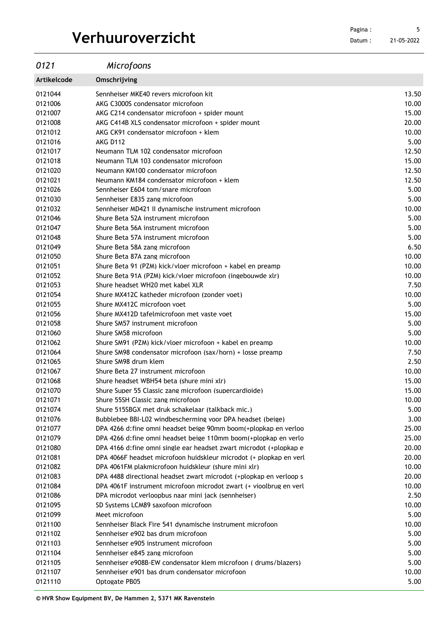Datum : 21-05-2022 

| 0121        | Microfoons                                                          |       |
|-------------|---------------------------------------------------------------------|-------|
| Artikelcode | Omschrijving                                                        |       |
| 0121044     | Sennheiser MKE40 revers microfoon kit                               | 13.50 |
| 0121006     | AKG C3000S condensator microfoon                                    | 10.00 |
| 0121007     | AKG C214 condensator microfoon + spider mount                       | 15.00 |
| 0121008     | AKG C414B XLS condensator microfoon + spider mount                  | 20.00 |
| 0121012     | AKG CK91 condensator microfoon + klem                               | 10.00 |
| 0121016     | <b>AKG D112</b>                                                     | 5.00  |
| 0121017     | Neumann TLM 102 condensator microfoon                               | 12.50 |
| 0121018     | Neumann TLM 103 condensator microfoon                               | 15.00 |
| 0121020     | Neumann KM100 condensator microfoon                                 | 12.50 |
| 0121021     | Neumann KM184 condensator microfoon + klem                          | 12.50 |
| 0121026     | Sennheiser E604 tom/snare microfoon                                 | 5.00  |
| 0121030     | Sennheiser E835 zang microfoon                                      | 5.00  |
| 0121032     | Sennheiser MD421 II dynamische instrument microfoon                 | 10.00 |
| 0121046     | Shure Beta 52A instrument microfoon                                 | 5.00  |
| 0121047     | Shure Beta 56A instrument microfoon                                 | 5.00  |
| 0121048     | Shure Beta 57A instrument microfoon                                 | 5.00  |
| 0121049     | Shure Beta 58A zang microfoon                                       | 6.5C  |
| 0121050     | Shure Beta 87A zang microfoon                                       | 10.00 |
| 0121051     | Shure Beta 91 (PZM) kick/vloer microfoon + kabel en preamp          | 10.00 |
| 0121052     | Shure Beta 91A (PZM) kick/vloer microfoon (ingebouwde xlr)          | 10.00 |
| 0121053     | Shure headset WH20 met kabel XLR                                    | 7.50  |
| 0121054     | Shure MX412C katheder microfoon (zonder voet)                       | 10.00 |
| 0121055     | Shure MX412C microfoon voet                                         | 5.00  |
| 0121056     | Shure MX412D tafelmicrofoon met vaste voet                          | 15.00 |
| 0121058     | Shure SM57 instrument microfoon                                     | 5.00  |
| 0121060     | Shure SM58 microfoon                                                | 5.00  |
| 0121062     | Shure SM91 (PZM) kick/vloer microfoon + kabel en preamp             | 10.00 |
| 0121064     | Shure SM98 condensator microfoon (sax/horn) + losse preamp          | 7.50  |
| 0121065     | Shure SM98 drum klem                                                | 2.5C  |
| 0121067     | Shure Beta 27 instrument microfoon                                  | 10.00 |
| 0121068     | Shure headset WBH54 beta (shure mini xlr)                           | 15.00 |
| 0121070     | Shure Super 55 Classic zang microfoon (supercardioide)              | 15.00 |
| 0121071     | Shure 55SH Classic zang microfoon                                   | 10.00 |
| 0121074     | Shure 515SBGX met druk schakelaar (talkback mic.)                   | 5.00  |
| 0121076     | Bubblebee BBI-L02 windbescherming voor DPA headset (beige)          | 3.00  |
| 0121077     | DPA 4266 d:fine omni headset beige 90mm boom(+plopkap en verloo     | 25.00 |
| 0121079     | DPA 4266 d: fine omni headset beige 110mm boom (+ plopkap en verlo  | 25.00 |
| 0121080     | DPA 4166 d: fine omni single ear headset zwart microdot (+plopkap e | 20.00 |
| 0121081     | DPA 4066F headset microfoon huidskleur microdot (+ plopkap en verl  | 20.00 |
| 0121082     | DPA 4061FM plakmicrofoon huidskleur (shure mini xlr)                | 10.00 |
| 0121083     | DPA 4488 directional headset zwart microdot (+plopkap en verloop s  | 20.00 |
| 0121084     | DPA 4061F instrument microfoon microdot zwart (+ vioolbrug en verl  | 10.00 |
| 0121086     | DPA microdot verloopbus naar mini jack (sennheiser)                 | 2.50  |
| 0121095     | SD Systems LCM89 saxofoon microfoon                                 | 10.00 |
| 0121099     | Meet microfoon                                                      | 5.00  |
| 0121100     | Sennheiser Black Fire 541 dynamische instrument microfoon           | 10.00 |
| 0121102     | Sennheiser e902 bas drum microfoon                                  | 5.00  |
| 0121103     | Sennheiser e905 instrument microfoon                                | 5.00  |
| 0121104     | Sennheiser e845 zang microfoon                                      | 5.00  |
| 0121105     | Sennheiser e908B-EW condensator klem microfoon (drums/blazers)      | 5.00  |
| 0121107     | Sennheiser e901 bas drum condensator microfoon                      | 10.00 |

0121110 Optogate PB05 5.00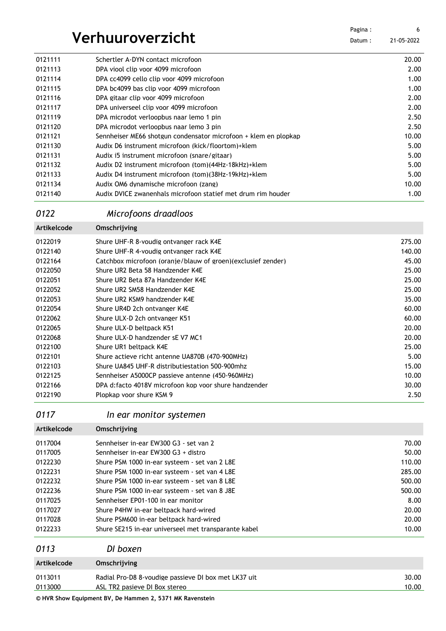| Verhuuroverzicht |                                                                 | Pagina: | 6          |
|------------------|-----------------------------------------------------------------|---------|------------|
|                  |                                                                 | Datum:  | 21-05-2022 |
| 0121111          | Schertler A-DYN contact microfoon                               |         | 20.00      |
| 0121113          | DPA viool clip voor 4099 microfoon                              |         | 2.00       |
| 0121114          | DPA cc4099 cello clip voor 4099 microfoon                       |         | 1.00       |
| 0121115          | DPA bc4099 bas clip voor 4099 microfoon                         |         | 1.00       |
| 0121116          | DPA gitaar clip voor 4099 microfoon                             |         | 2.00       |
| 0121117          | DPA universeel clip voor 4099 microfoon                         |         | 2.00       |
| 0121119          | DPA microdot verloopbus naar lemo 1 pin                         |         | 2.50       |
| 0121120          | DPA microdot verloopbus naar lemo 3 pin                         |         | 2.50       |
| 0121121          | Sennheiser ME66 shotgun condensator microfoon + klem en plopkap |         | 10.00      |
| 0121130          | Audix D6 instrument microfoon (kick/floortom)+klem              |         | 5.00       |
| 0121131          | Audix i5 instrument microfoon (snare/gitaar)                    |         | 5.00       |
| 0121132          | Audix D2 instrument microfoon (tom)(44Hz-18kHz)+klem            |         | 5.00       |
| 0121133          | Audix D4 instrument microfoon (tom)(38Hz-19kHz)+klem            |         | 5.00       |
| 0121134          | Audix OM6 dynamische microfoon (zang)                           |         | 10.00      |
| 0121140          | Audix DVICE zwanenhals microfoon statief met drum rim houder    |         | 1.00       |

## *Microfoons draadloos*

| <b>Artikelcode</b> | Omschrijving                                                 |        |
|--------------------|--------------------------------------------------------------|--------|
| 0122019            | Shure UHF-R 8-voudig ontvanger rack K4E                      | 275.00 |
| 0122140            | Shure UHF-R 4-voudig ontvanger rack K4E                      | 140.00 |
| 0122164            | Catchbox microfoon (oranie/blauw of groen)(exclusief zender) | 45.00  |
| 0122050            | Shure UR2 Beta 58 Handzender K4E                             | 25.00  |
| 0122051            | Shure UR2 Beta 87a Handzender K4E                            | 25.00  |
| 0122052            | Shure UR2 SM58 Handzender K4E                                | 25.00  |
| 0122053            | Shure UR2 KSM9 handzender K4E                                | 35.00  |
| 0122054            | Shure UR4D 2ch ontvanger K4E                                 | 60.00  |
| 0122062            | Shure ULX-D 2ch ontvanger K51                                | 60.00  |
| 0122065            | Shure ULX-D beltpack K51                                     | 20.00  |
| 0122068            | Shure ULX-D handzender sE V7 MC1                             | 20.00  |
| 0122100            | Shure UR1 beltpack K4E                                       | 25.00  |
| 0122101            | Shure actieve richt antenne UA870B (470-900MHz)              | 5.00   |
| 0122103            | Shure UA845 UHF-R distributiestation 500-900mhz              | 15.00  |
| 0122125            | Sennheiser A5000CP passieve antenne (450-960MHz)             | 10.00  |
| 0122166            | DPA d:facto 4018V microfoon kop voor shure handzender        | 30.00  |
| 0122190            | Plopkap voor shure KSM 9                                     | 2.50   |

*In ear monitor systemen*

| Artikelcode | Omschrijving                                         |        |
|-------------|------------------------------------------------------|--------|
| 0117004     | Sennheiser in-ear EW300 G3 - set van 2               | 70.00  |
| 0117005     | Sennheiser in-ear EW300 G3 + distro                  | 50.00  |
| 0122230     | Shure PSM 1000 in-ear systeem - set van 2 L8E        | 110.00 |
| 0122231     | Shure PSM 1000 in-ear systeem - set van 4 L8E        | 285.00 |
| 0122232     | Shure PSM 1000 in-ear systeem - set van 8 L8E        | 500.00 |
| 0122236     | Shure PSM 1000 in-ear systeem - set van 8 J8E        | 500.00 |
| 0117025     | Sennheiser EP01-100 in ear monitor                   | 8.00   |
| 0117027     | Shure P4HW in-ear beltpack hard-wired                | 20.00  |
| 0117028     | Shure PSM600 in-ear beltpack hard-wired              | 20.00  |
| 0122233     | Shure SE215 in-ear universeel met transparante kabel | 10.00  |
|             |                                                      |        |

| 0113        | DI boxen                                             |       |
|-------------|------------------------------------------------------|-------|
| Artikelcode | Omschrijving                                         |       |
| 0113011     | Radial Pro-D8 8-voudige passieve DI box met LK37 uit | 30.00 |
| 0113000     | ASL TR2 pasieve DI Box stereo                        | 10.00 |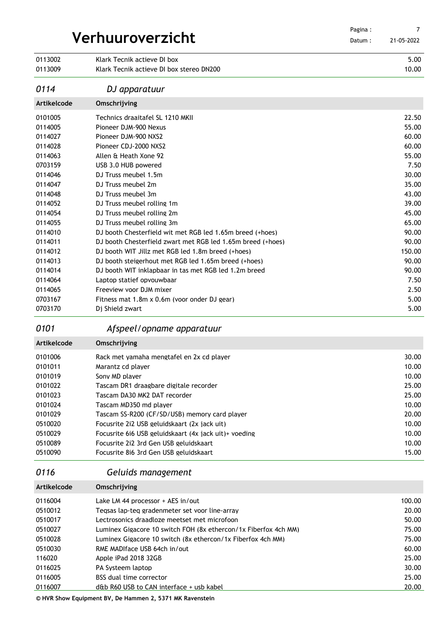| Verhuuroverzicht   |                                                             | Pagina:<br>Datum: | 7<br>21-05-2022 |
|--------------------|-------------------------------------------------------------|-------------------|-----------------|
| 0113002            | Klark Tecnik actieve DI box                                 |                   | 5.00            |
| 0113009            | Klark Tecnik actieve DJ box stereo DN200                    |                   | 10.00           |
| 0114               | DJ apparatuur                                               |                   |                 |
| <b>Artikelcode</b> | Omschrijving                                                |                   |                 |
| 0101005            | Technics draaitafel SL 1210 MKII                            |                   | 22.50           |
| 0114005            | Pioneer DJM-900 Nexus                                       |                   | 55.00           |
| 0114027            | Pioneer DJM-900 NXS2                                        |                   | 60.00           |
| 0114028            | Pioneer CDJ-2000 NXS2                                       |                   | 60.00           |
| 0114063            | Allen & Heath Xone 92                                       |                   | 55.00           |
| 0703159            | USB 3.0 HUB powered                                         |                   | 7.50            |
| 0114046            | DJ Truss meubel 1.5m                                        |                   | 30.00           |
| 0114047            | DJ Truss meubel 2m                                          |                   | 35.00           |
| 0114048            | DJ Truss meubel 3m                                          |                   | 43.00           |
| 0114052            | DJ Truss meubel rolling 1m                                  |                   | 39.00           |
| 0114054            | DJ Truss meubel rolling 2m                                  |                   | 45.00           |
| 0114055            | DJ Truss meubel rolling 3m                                  |                   | 65.00           |
| 0114010            | DJ booth Chesterfield wit met RGB led 1.65m breed (+hoes)   |                   | 90.00           |
| 0114011            | DJ booth Chesterfield zwart met RGB led 1.65m breed (+hoes) |                   | 90.00           |
| 0114012            | DJ booth WIT Jillz met RGB led 1.8m breed (+hoes)           |                   | 150.00          |
| 0114013            | DJ booth steigerhout met RGB led 1.65m breed (+hoes)        |                   | 90.00           |
| 0114014            | DJ booth WIT inklapbaar in tas met RGB led 1.2m breed       |                   | 90.00           |
| 0114064            | Laptop statief opvouwbaar                                   |                   | 7.50            |
| 0114065            | Freeview voor DJM mixer                                     |                   | 2.50            |
| 0703167            | Fitness mat 1.8m x 0.6m (voor onder DJ gear)                |                   | 5.00            |
| 0703170            | Dj Shield zwart                                             |                   | 5.00            |

## *Afspeel/opname apparatuur*

| Artikelcode | Omschrijving                                          |       |
|-------------|-------------------------------------------------------|-------|
| 0101006     | Rack met vamaha mengtafel en 2x cd player             | 30.00 |
| 0101011     | Marantz cd plaver                                     | 10.00 |
| 0101019     | Sony MD player                                        | 10.00 |
| 0101022     | Tascam DR1 draagbare digitale recorder                | 25.00 |
| 0101023     | Tascam DA30 MK2 DAT recorder                          | 25.00 |
| 0101024     | Tascam MD350 md plaver                                | 10.00 |
| 0101029     | Tascam SS-R200 (CF/SD/USB) memory card player         | 20.00 |
| 0510020     | Focusrite 2i2 USB geluidskaart (2x jack uit)          | 10.00 |
| 0510029     | Focusrite 616 USB geluidskaart (4x jack uit)+ voeding | 10.00 |
| 0510089     | Focusrite 2i2 3rd Gen USB geluidskaart                | 10.00 |
| 0510090     | Focusrite 816 3rd Gen USB geluidskaart                | 15.00 |

### *Geluids management*

| Artikelcode | Omschrijving                                                    |        |
|-------------|-----------------------------------------------------------------|--------|
| 0116004     | Lake LM 44 processor + AES in/out                               | 100.00 |
| 0510012     | Tegsas lap-teg gradenmeter set voor line-arrav                  | 20.00  |
| 0510017     | Lectrosonics draadloze meetset met microfoon                    | 50.00  |
| 0510027     | Luminex Gigacore 10 switch FOH (8x ethercon/1x Fiberfox 4ch MM) | 75.00  |
| 0510028     | Luminex Gigacore 10 switch (8x ethercon/1x Fiberfox 4ch MM)     | 75.00  |
| 0510030     | RME MADIface USB 64ch in/out                                    | 60.00  |
| 116020      | Apple iPad 2018 32GB                                            | 25.00  |
| 0116025     | PA Systeem laptop                                               | 30.00  |
| 0116005     | BSS dual time corrector                                         | 25.00  |
| 0116007     | d&b R60 USB to CAN interface + usb kabel                        | 20.00  |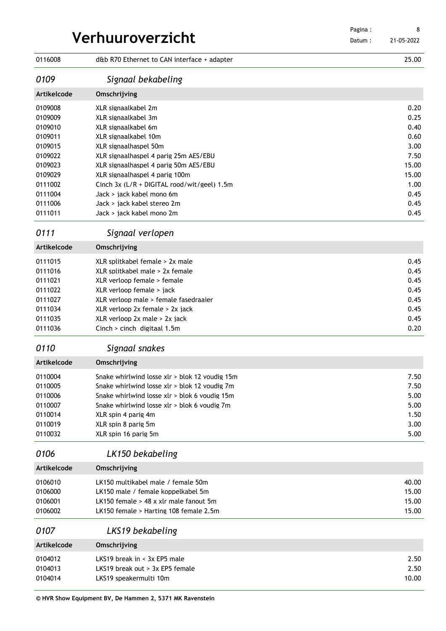| Verhuuroverzicht   |                                                          | Pagina:<br>Datum: | 8<br>21-05-2022 |
|--------------------|----------------------------------------------------------|-------------------|-----------------|
| 0116008            | d&b R70 Ethernet to CAN interface + adapter              |                   | 25.00           |
| 0109               | Signaal bekabeling                                       |                   |                 |
| <b>Artikelcode</b> | Omschrijving                                             |                   |                 |
| 0109008            | XLR signaalkabel 2m                                      |                   | 0.20            |
| 0109009            | XLR signaalkabel 3m                                      |                   | 0.25            |
| 0109010            | XLR signaalkabel 6m                                      |                   | 0.40            |
| 0109011            | XLR signaalkabel 10m                                     |                   | 0.60            |
| 0109015            | XLR signaalhaspel 50m                                    |                   | 3.00            |
| 0109022            | XLR signaalhaspel 4 parig 25m AES/EBU                    |                   | 7.50            |
| 0109023            | XLR signaalhaspel 4 parig 50m AES/EBU                    |                   | 15.00           |
| 0109029            | XLR signaalhaspel 4 parig 100m                           |                   | 15.00           |
| 0111002            | Cinch 3x (L/R + DIGITAL rood/wit/geel) 1.5m              |                   | 1.00            |
| 0111004            | Jack > jack kabel mono 6m                                |                   | 0.45            |
| 0111006            | Jack > jack kabel stereo 2m                              |                   | 0.45            |
| 0111011            | Jack > jack kabel mono 2m                                |                   | 0.45            |
| 0111               | Signaal verlopen                                         |                   |                 |
| Artikelcode        | Omschrijving                                             |                   |                 |
| 0111015            | XLR splitkabel female > 2x male                          |                   | 0.45            |
| 0111016            | XLR splitkabel male > 2x female                          |                   | 0.45            |
| 0111021            | XLR verloop female > female                              |                   | 0.45            |
| 0111022            | XLR verloop female > jack                                |                   | 0.45            |
| 0111027            | XLR verloop male > female fasedraaier                    |                   | 0.45            |
| 0111034            | XLR verloop 2x female > 2x jack                          |                   | 0.45            |
| 0111035            | XLR verloop 2x male > 2x jack                            |                   | 0.45            |
| 0111036            | Cinch > cinch digitaal 1.5m                              |                   | 0.20            |
| 0110               | Signaal snakes                                           |                   |                 |
| <b>Artikelcode</b> | Omschrijving                                             |                   |                 |
| 0110004            | Snake whirlwind losse xlr > blok 12 voudig 15m           |                   | 7.50            |
| 0110005            | Snake whirlwind losse xlr > blok 12 voudig 7m            |                   | 7.50            |
| 0110006            | Snake whirlwind losse xlr > blok 6 voudig 15m            |                   | 5.00            |
| 0110007            | Snake whirlwind losse xlr > blok 6 voudig 7m             |                   | 5.00            |
| 0110014            | XLR spin 4 parig 4m                                      |                   | 1.50            |
| 0110019            | XLR spin 8 parig 5m                                      |                   | 3.00            |
| 0110032            | XLR spin 16 parig 5m                                     |                   | 5.00            |
| 0106               | LK150 bekabeling                                         |                   |                 |
| <b>Artikelcode</b> | Omschrijving                                             |                   |                 |
| 0106010            | LK150 multikabel male / female 50m                       |                   | 40.00           |
| 0106000            | LK150 male / female koppelkabel 5m                       |                   | 15.00           |
| 0106001            | LK150 female $>$ 48 x xlr male fanout 5m                 |                   | 15.00           |
| 0106002            | LK150 female > Harting 108 female 2.5m                   |                   | 15.00           |
| 0107               | LKS19 bekabeling                                         |                   |                 |
| Artikelcode        | Omschrijving                                             |                   |                 |
| 0104012            | LKS19 break in $\leq$ 3x EP5 male                        |                   | 2.50            |
| 0104013            | LKS19 break out $>$ 3x EP5 female                        |                   | 2.50            |
| 0104014            | LKS19 speakermulti 10m                                   |                   | 10.00           |
|                    | © HVR Show Equipment BV, De Hammen 2, 5371 MK Ravenstein |                   |                 |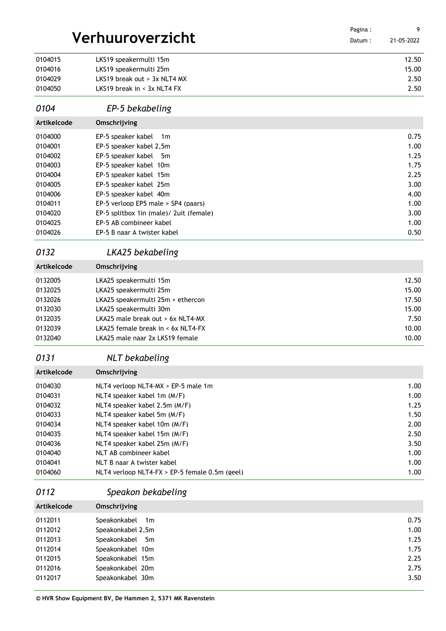|                    |                                                        | Pagina: | 9            |
|--------------------|--------------------------------------------------------|---------|--------------|
|                    | Verhuuroverzicht                                       | Datum:  | 21-05-2022   |
|                    |                                                        |         |              |
| 0104015            | LKS19 speakermulti 15m                                 |         | 12.50        |
| 0104016            | LKS19 speakermulti 25m<br>LKS19 break out > 3x NLT4 MX |         | 15.00        |
| 0104029<br>0104050 | LKS19 break in $<$ 3x NLT4 FX                          |         | 2.50<br>2.50 |
|                    |                                                        |         |              |
| 0104               | EP-5 bekabeling                                        |         |              |
| Artikelcode        | Omschrijving                                           |         |              |
| 0104000            | EP-5 speaker kabel<br>1 <sub>m</sub>                   |         | 0.75         |
| 0104001            | EP-5 speaker kabel 2,5m                                |         | 1.00         |
| 0104002            | EP-5 speaker kabel<br>5m                               |         | 1.25         |
| 0104003            | EP-5 speaker kabel 10m                                 |         | 1.75         |
| 0104004            | EP-5 speaker kabel 15m                                 |         | 2.25         |
| 0104005            | EP-5 speaker kabel 25m                                 |         | 3.00         |
| 0104006            | EP-5 speaker kabel 40m                                 |         | 4.00         |
| 0104011            | EP-5 verloop EP5 male > SP4 (paars)                    |         | 1.00         |
| 0104020            | EP-5 splitbox 1in (male)/ 2uit (female)                |         | 3.00         |
| 0104025            | EP-5 AB combineer kabel                                |         | 1.00         |
| 0104026            | EP-5 B naar A twister kabel                            |         | 0.50         |
| 0132               | LKA25 bekabeling                                       |         |              |
| Artikelcode        | Omschrijving                                           |         |              |
| 0132005            | LKA25 speakermulti 15m                                 |         | 12.50        |
| 0132025            | LKA25 speakermulti 25m                                 |         | 15.00        |
| 0132026            | LKA25 speakermulti 25m + ethercon                      |         | 17.50        |
| 0132030            | LKA25 speakermulti 30m                                 |         | 15.00        |
| 0132035            | LKA25 male break out > 6x NLT4-MX                      |         | 7.50         |
| 0132039            | LKA25 female break in $<$ 6x NLT4-FX                   |         | 10.00        |
| 0132040            | LKA25 male naar 2x LKS19 female                        |         | 10.00        |
| 0131               | NLT bekabeling                                         |         |              |
| Artikelcode        | Omschrijving                                           |         |              |
| 0104030            | NLT4 verloop NLT4-MX > EP-5 male 1m                    |         | 1.00         |
| 0104031            | NLT4 speaker kabel 1m (M/F)                            |         | 1.00         |
| 0104032            | NLT4 speaker kabel 2.5m (M/F)                          |         | 1.25         |
| 0104033            | NLT4 speaker kabel 5m (M/F)                            |         | 1.50         |
| 0104034            | NLT4 speaker kabel 10m (M/F)                           |         | 2.00         |
| 0104035            | NLT4 speaker kabel 15m (M/F)                           |         | 2.50         |
| 0104036            | NLT4 speaker kabel 25m (M/F)                           |         | 3.50         |
| 0104040            | NLT AB combineer kabel                                 |         | 1.00         |
| 0104041            | NLT B naar A twister kabel                             |         | 1.00         |
| 0104060            | NLT4 verloop NLT4-FX > EP-5 female 0.5m (geel)         |         | 1.00         |
| 0112               | Speakon bekabeling                                     |         |              |
| Artikelcode        | Omschrijving                                           |         |              |
| 0112011            | Speakonkabel<br>1m                                     |         | 0.75         |
| 0112012            | Speakonkabel 2,5m                                      |         | 1.00         |
| 0112013            | Speakonkabel<br>5m                                     |         | 1.25         |
| 0112014            | Speakonkabel 10m                                       |         | 1.75         |
| 0112015            | Speakonkabel 15m                                       |         | 2.25         |
| 0112016            | Speakonkabel 20m                                       |         | 2.75         |
| 0112017            | Speakonkabel 30m                                       |         | 3.50         |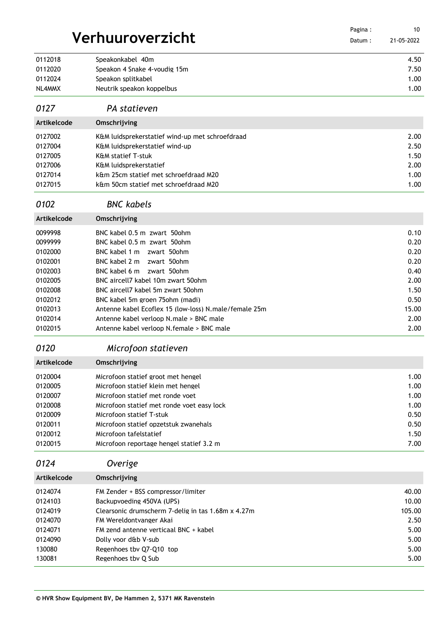|             |                                                       | Pagina: | 10         |
|-------------|-------------------------------------------------------|---------|------------|
|             | Verhuuroverzicht                                      | Datum:  | 21-05-2022 |
| 0112018     | Speakonkabel 40m                                      |         | 4.50       |
| 0112020     | Speakon 4 Snake 4-voudig 15m                          |         | 7.50       |
| 0112024     | Speakon splitkabel                                    |         | 1.00       |
| NL4MMX      | Neutrik speakon koppelbus                             |         | 1.00       |
| 0127        | PA statieven                                          |         |            |
| Artikelcode | Omschrijving                                          |         |            |
| 0127002     | K&M luidsprekerstatief wind-up met schroefdraad       |         | 2.00       |
| 0127004     | K&M luidsprekerstatief wind-up                        |         | 2.50       |
| 0127005     | <b>K&amp;M statief T-stuk</b>                         |         | 1.50       |
| 0127006     | K&M luidsprekerstatief                                |         | 2.00       |
| 0127014     | k&m 25cm statief met schroefdraad M20                 |         | 1.00       |
| 0127015     | k&m 50cm statief met schroefdraad M20                 |         | 1.00       |
| 0102        | <b>BNC</b> kabels                                     |         |            |
| Artikelcode | Omschrijving                                          |         |            |
| 0099998     | BNC kabel 0.5 m zwart 50ohm                           |         | 0.10       |
| 0099999     | BNC kabel 0.5 m zwart 50ohm                           |         | 0.20       |
| 0102000     | BNC kabel 1 m zwart 50ohm                             |         | 0.20       |
| 0102001     | BNC kabel 2 m<br>zwart 50ohm                          |         | 0.20       |
| 0102003     | BNC kabel 6 m zwart 50ohm                             |         | 0.40       |
| 0102005     | BNC aircell7 kabel 10m zwart 50ohm                    |         | 2.00       |
| 0102008     | BNC aircell7 kabel 5m zwart 50ohm                     |         | 1.50       |
| 0102012     | BNC kabel 5m groen 75ohm (madi)                       |         | 0.50       |
| 0102013     | Antenne kabel Ecoflex 15 (low-loss) N.male/female 25m |         | 15.00      |
| 0102014     | Antenne kabel verloop N.male > BNC male               |         | 2.00       |
| 0102015     | Antenne kabel verloop N.female > BNC male             |         | 2.00       |
|             |                                                       |         |            |
| 0120        | Microfoon statieven                                   |         |            |
| Artikelcode | Omschrijving                                          |         |            |
| 0120004     | Microfoon statief groot met hengel                    |         | 1.00       |
| 0120005     | Microfoon statief klein met hengel                    |         | 1.00       |
| 0120007     | Microfoon statief met ronde voet                      |         | 1.00       |
| 0120008     | Microfoon statief met ronde voet easy lock            |         | 1.00       |
| 0120009     | Microfoon statief T-stuk                              |         | 0.50       |
| 0120011     | Microfoon statief opzetstuk zwanehals                 |         | 0.50       |
| 0120012     | Microfoon tafelstatief                                |         | 1.50       |
| 0120015     | Microfoon reportage hengel statief 3.2 m              |         | 7.00       |
| 0124        | Overige                                               |         |            |
| Artikelcode | Omschrijving                                          |         |            |
| 0124074     | FM Zender + BSS compressor/limiter                    |         | 40.00      |
| 0124103     | Backupvoeding 450VA (UPS)                             |         | 10.00      |
| 0124019     | Clearsonic drumscherm 7-delig in tas 1.68m x 4.27m    |         | 105.00     |
| 0124070     | FM Wereldontvanger Akai                               |         | 2.50       |
| 0124071     | FM zend antenne verticaal BNC + kabel                 |         | 5.00       |
| 0124090     | Dolly voor d&b V-sub                                  |         | 5.00       |
| 130080      | Regenhoes tbv Q7-Q10 top                              |         | 5.00       |
| 130081      | Regenhoes tbv Q Sub                                   |         | 5.00       |
|             |                                                       |         |            |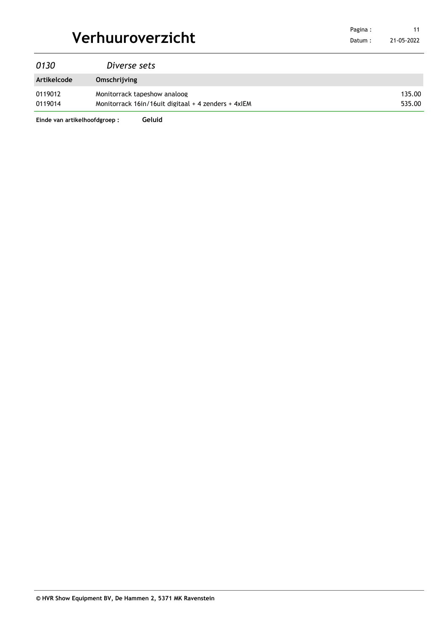|                  | Pagina: |
|------------------|---------|
| Verhuuroverzicht | Datum:  |

| 0130        | Diverse sets                                        |        |
|-------------|-----------------------------------------------------|--------|
| Artikelcode | Omschrijving                                        |        |
| 0119012     | Monitorrack tapeshow analoog                        | 135.00 |
| 0119014     | Monitorrack 16in/16uit digitaal + 4 zenders + 4xIEM | 535.00 |

**Einde van artikelhoofdgroep : Geluid**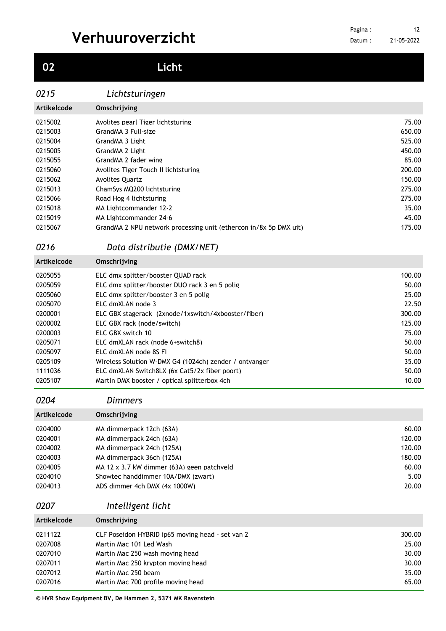## **Licht**

### *Lichtsturingen*

| Artikelcode | Omschrijving                                                      |        |
|-------------|-------------------------------------------------------------------|--------|
| 0215002     | Avolites pearl Tiger lichtsturing                                 | 75.00  |
| 0215003     | GrandMA 3 Full-size                                               | 650.00 |
| 0215004     | GrandMA 3 Light                                                   | 525.00 |
| 0215005     | GrandMA 2 Light                                                   | 450.00 |
| 0215055     | GrandMA 2 fader wing                                              | 85.00  |
| 0215060     | Avolites Tiger Touch II lichtsturing                              | 200.00 |
| 0215062     | <b>Avolites Ouartz</b>                                            | 150.00 |
| 0215013     | ChamSys MO200 lichtsturing                                        | 275.00 |
| 0215066     | Road Hog 4 lichtsturing                                           | 275.00 |
| 0215018     | MA Lightcommander 12-2                                            | 35.00  |
| 0215019     | MA Lightcommander 24-6                                            | 45.00  |
| 0215067     | GrandMA 2 NPU network processing unit (ethercon in/8x 5p DMX uit) | 175.00 |
|             |                                                                   |        |

### *Data distributie (DMX/NET)*

| Artikelcode | Omschrijving                                           |        |
|-------------|--------------------------------------------------------|--------|
| 0205055     | ELC dmx splitter/booster OUAD rack                     | 100.00 |
| 0205059     | ELC dmx splitter/booster DUO rack 3 en 5 polig         | 50.00  |
| 0205060     | ELC dmx splitter/booster 3 en 5 polig                  | 25.00  |
| 0205070     | ELC dmXLAN node 3                                      | 22.50  |
| 0200001     | ELC GBX stagerack (2xnode/1xswitch/4xbooster/fiber)    | 300.00 |
| 0200002     | ELC GBX rack (node/switch)                             | 125.00 |
| 0200003     | ELC GBX switch 10                                      | 75.00  |
| 0205071     | ELC dmXLAN rack (node 6+switch8)                       | 50.00  |
| 0205097     | ELC dmXLAN node 8S FL                                  | 50.00  |
| 0205109     | Wireless Solution W-DMX G4 (1024ch) zender / ontvanger | 35.00  |
| 1111036     | ELC dmXLAN Switch8LX (6x Cat5/2x fiber poort)          | 50.00  |
| 0205107     | Martin DMX booster / optical splitterbox 4ch           | 10.00  |

### *Dimmers*

| Artikelcode | Omschrijving                               |        |
|-------------|--------------------------------------------|--------|
| 0204000     | MA dimmerpack 12ch (63A)                   | 60.00  |
| 0204001     | MA dimmerpack 24ch (63A)                   | 120.00 |
| 0204002     | MA dimmerpack 24ch (125A)                  | 120.00 |
| 0204003     | MA dimmerpack 36ch (125A)                  | 180.00 |
| 0204005     | MA 12 x 3.7 kW dimmer (63A) geen patchveld | 60.00  |
| 0204010     | Showtec handdimmer 10A/DMX (zwart)         | 5.00   |
| 0204013     | ADS dimmer 4ch DMX (4x 1000W)              | 20.00  |

### *Intelligent licht*

| Artikelcode | Omschrijving                                     |        |
|-------------|--------------------------------------------------|--------|
| 0211122     | CLF Poseidon HYBRID ip65 moving head - set van 2 | 300.00 |
| 0207008     | Martin Mac 101 Led Wash                          | 25.00  |
| 0207010     | Martin Mac 250 wash moving head                  | 30.00  |
| 0207011     | Martin Mac 250 krypton moving head               | 30.00  |
| 0207012     | Martin Mac 250 beam                              | 35.00  |
| 0207016     | Martin Mac 700 profile moving head               | 65.00  |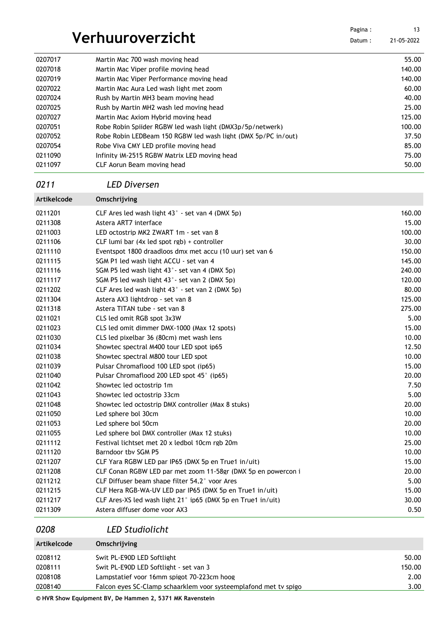|             |                                                               | Pagina: | 13         |
|-------------|---------------------------------------------------------------|---------|------------|
|             | Verhuuroverzicht                                              | Datum:  | 21-05-2022 |
| 0207017     | Martin Mac 700 wash moving head                               |         | 55.00      |
| 0207018     | Martin Mac Viper profile moving head                          |         | 140.00     |
| 0207019     | Martin Mac Viper Performance moving head                      |         | 140.00     |
| 0207022     | Martin Mac Aura Led wash light met zoom                       |         | 60.00      |
| 0207024     | Rush by Martin MH3 beam moving head                           |         | 40.00      |
| 0207025     | Rush by Martin MH2 wash led moving head                       |         | 25.00      |
| 0207027     | Martin Mac Axiom Hybrid moving head                           |         | 125.00     |
| 0207051     | Robe Robin Spiider RGBW led wash light (DMX3p/5p/netwerk)     |         | 100.00     |
| 0207052     | Robe Robin LEDBeam 150 RGBW led wash light (DMX 5p/PC in/out) |         | 37.50      |
| 0207054     | Robe Viva CMY LED profile moving head                         |         | 85.00      |
| 0211090     | Infinity iM-2515 RGBW Matrix LED moving head                  |         | 75.00      |
| 0211097     | CLF Aorun Beam moving head                                    |         | 50.00      |
| 0211        | <b>LED Diversen</b>                                           |         |            |
| Artikelcode | Omschrijving                                                  |         |            |
| 0211201     | CLF Ares led wash light 43° - set van 4 (DMX 5p)              |         | 160.00     |
| 0211308     | Astera ART7 interface                                         |         | 15.00      |
| 0211003     | LED octostrip MK2 ZWART 1m - set van 8                        |         | 100.00     |
| 0211106     | CLF lumi bar (4x led spot rgb) + controller                   |         | 30.00      |
| 0211110     | Eventspot 1800 draadloos dmx met accu (10 uur) set van 6      |         | 150.00     |
| 0211115     | SGM P1 led wash light ACCU - set van 4                        |         | 145.00     |
| 0211116     | SGM P5 led wash light 43° - set van 4 (DMX 5p)                |         | 240.00     |
| 0211117     | SGM P5 led wash light 43° - set van 2 (DMX 5p)                |         | 120.00     |
| 0211202     | CLF Ares led wash light 43° - set van 2 (DMX 5p)              |         | 80.00      |
| 0211304     | Astera AX3 lightdrop - set van 8                              |         | 125.00     |
| 0211318     | Astera TITAN tube - set van 8                                 |         | 275.00     |
| 0211021     | CLS led omit RGB spot 3x3W                                    |         | 5.00       |
| 0211023     | CLS led omit dimmer DMX-1000 (Max 12 spots)                   |         | 15.00      |
| 0211030     | CLS led pixelbar 36 (80cm) met wash lens                      |         | 10.00      |
| 0211034     | Showtec spectral M400 tour LED spot ip65                      |         | 12.50      |
| 0211038     | Showtec spectral M800 tour LED spot                           |         | 10.00      |
| 0211039     | Pulsar Chromaflood 100 LED spot (ip65)                        |         | 15.00      |
| 0211040     | Pulsar Chromaflood 200 LED spot 45° (ip65)                    |         | 20.00      |
| 0211042     | Showtec led octostrip 1m                                      |         | 7.50       |
| 0211043     | Showtec led octostrip 33cm                                    |         | 5.00       |
| 0211048     | Showtec led octostrip DMX controller (Max 8 stuks)            |         | 20.00      |
| 0211050     | Led sphere bol 30cm                                           |         | 10.00      |
| 0211053     | Led sphere bol 50cm                                           |         | 20.00      |
| 0211055     | Led sphere bol DMX controller (Max 12 stuks)                  |         | 10.00      |
| 0211112     | Festival lichtset met 20 x ledbol 10cm rgb 20m                |         | 25.00      |
| 0211120     | Barndoor tby SGM P5                                           |         | 10.00      |
| 0211207     | CLF Yara RGBW LED par IP65 (DMX 5p en True1 in/uit)           |         | 15.00      |
| 0211208     | CLF Conan RGBW LED par met zoom 11-58gr (DMX 5p en powercon i |         | 20.00      |
| 0211212     | CLF Diffuser beam shape filter 54,2° voor Ares                |         | 5.00       |
| 0211215     | CLF Hera RGB-WA-UV LED par IP65 (DMX 5p en True1 in/uit)      |         | 15.00      |
| 0211217     | CLF Ares-XS led wash light 21° ip65 (DMX 5p en True1 in/uit)  |         | 30.00      |
| 0211309     | Astera diffuser dome voor AX3                                 |         | 0.50       |
|             |                                                               |         |            |

*LED Studiolicht*

| Artikelcode | Omschrijving                                                     |        |
|-------------|------------------------------------------------------------------|--------|
| 0208112     | Swit PL-E90D LED Softlight                                       | 50.00  |
| 0208111     | Swit PL-E90D LED Softlight - set van 3                           | 150.00 |
| 0208108     | Lampstatief voor 16mm spigot 70-223cm hoog                       | 2.00   |
| 0208140     | Falcon eyes SC-Clamp schaarklem yoor systeemplafond met ty spigo | 3.00   |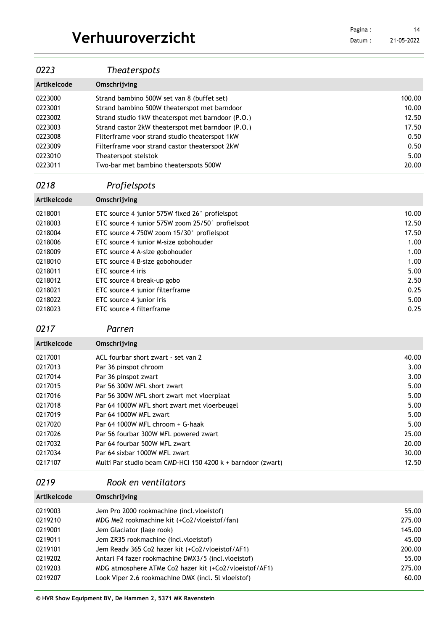Datum : 21-05-2022 

| 0223                                                                                                                             | <b>Theaterspots</b>                                                                                                                                                                                                                                                                                                                                                                                                                                       |                                                                                                   |
|----------------------------------------------------------------------------------------------------------------------------------|-----------------------------------------------------------------------------------------------------------------------------------------------------------------------------------------------------------------------------------------------------------------------------------------------------------------------------------------------------------------------------------------------------------------------------------------------------------|---------------------------------------------------------------------------------------------------|
| Artikelcode                                                                                                                      | Omschrijving                                                                                                                                                                                                                                                                                                                                                                                                                                              |                                                                                                   |
| 0223000<br>0223001<br>0223002<br>0223003<br>0223008<br>0223009<br>0223010<br>0223011                                             | Strand bambino 500W set van 8 (buffet set)<br>Strand bambino 500W theaterspot met barndoor<br>Strand studio 1kW theaterspot met barndoor (P.O.)<br>Strand castor 2kW theaterspot met barndoor (P.O.)<br>Filterframe voor strand studio theaterspot 1kW<br>Filterframe voor strand castor theaterspot 2kW<br>Theaterspot stelstok<br>Two-bar met bambino theaterspots 500W                                                                                 | 100.00<br>10.00<br>12.50<br>17.50<br>0.50<br>0.50<br>5.00<br>20.00                                |
| 0218                                                                                                                             | Profielspots                                                                                                                                                                                                                                                                                                                                                                                                                                              |                                                                                                   |
| Artikelcode                                                                                                                      | Omschrijving                                                                                                                                                                                                                                                                                                                                                                                                                                              |                                                                                                   |
| 0218001<br>0218003<br>0218004<br>0218006<br>0218009<br>0218010<br>0218011<br>0218012<br>0218021<br>0218022<br>0218023<br>0217    | ETC source 4 junior 575W fixed 26° profielspot<br>ETC source 4 junior 575W zoom 25/50° profielspot<br>ETC source 4 750W zoom 15/30° profielspot<br>ETC source 4 junior M-size gobohouder<br>ETC source 4 A-size gobohouder<br>ETC source 4 B-size gobohouder<br>ETC source 4 iris<br>ETC source 4 break-up gobo<br>ETC source 4 junior filterframe<br>ETC source 4 junior iris<br>ETC source 4 filterframe<br>Parren                                      | 10.00<br>12.50<br>17.50<br>1.00<br>1.00<br>1.00<br>5.00<br>2.50<br>0.25<br>5.00<br>0.25           |
| Artikelcode                                                                                                                      | Omschrijving                                                                                                                                                                                                                                                                                                                                                                                                                                              |                                                                                                   |
| 0217001<br>0217013<br>0217014<br>0217015<br>0217016<br>0217018<br>0217019<br>0217020<br>0217026<br>0217032<br>0217034<br>0217107 | ACL fourbar short zwart - set van 2<br>Par 36 pinspot chroom<br>Par 36 pinspot zwart<br>Par 56 300W MFL short zwart<br>Par 56 300W MFL short zwart met vloerplaat<br>Par 64 1000W MFL short zwart met vloerbeugel<br>Par 64 1000W MFL zwart<br>Par 64 1000W MFL chroom + G-haak<br>Par 56 fourbar 300W MFL powered zwart<br>Par 64 fourbar 500W MFL zwart<br>Par 64 sixbar 1000W MFL zwart<br>Multi Par studio beam CMD-HCl 150 4200 k + barndoor (zwart) | 40.00<br>3.00<br>3.00<br>5.00<br>5.00<br>5.00<br>5.00<br>5.00<br>25.00<br>20.00<br>30.00<br>12.50 |

### *Rook en ventilators*

| Artikelcode | Omschrijving                                           |        |
|-------------|--------------------------------------------------------|--------|
| 0219003     | Jem Pro 2000 rookmachine (incl. vloeistof)             | 55.00  |
| 0219210     | MDG Me2 rookmachine kit (+Co2/vloeistof/fan)           | 275.00 |
| 0219001     | Jem Glaciator (lage rook)                              | 145.00 |
| 0219011     | Jem ZR35 rookmachine (incl. vloeistof)                 | 45.00  |
| 0219101     | Jem Ready 365 Co2 hazer kit (+Co2/vloeistof/AF1)       | 200.00 |
| 0219202     | Antari F4 fazer rookmachine DMX3/5 (incl.vloeistof)    | 55.00  |
| 0219203     | MDG atmosphere ATMe Co2 hazer kit (+Co2/vloeistof/AF1) | 275.00 |
| 0219207     | Look Viper 2.6 rookmachine DMX (incl. 5l vloeistof)    | 60.00  |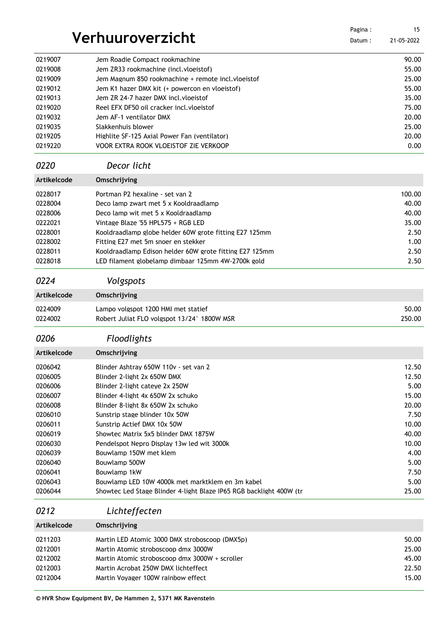|                    |                                                                          | Pagina: | 15             |
|--------------------|--------------------------------------------------------------------------|---------|----------------|
|                    | Verhuuroverzicht                                                         | Datum:  | 21-05-2022     |
|                    |                                                                          |         |                |
| 0219007<br>0219008 | Jem Roadie Compact rookmachine<br>Jem ZR33 rookmachine (incl. vloeistof) |         | 90.00<br>55.00 |
| 0219009            | Jem Magnum 850 rookmachine + remote incl. vloeistof                      |         | 25.00          |
| 0219012            | Jem K1 hazer DMX kit (+ powercon en vloeistof)                           |         | 55.00          |
| 0219013            | Jem ZR 24-7 hazer DMX incl. vloeistof                                    |         | 35.00          |
| 0219020            | Reel EFX DF50 oil cracker incl. vloeistof                                |         | 75.00          |
| 0219032            | Jem AF-1 ventilator DMX                                                  |         | 20.00          |
| 0219035            | Slakkenhuis blower                                                       |         | 25.00          |
| 0219205            | Highlite SF-125 Axial Power Fan (ventilator)                             |         | 20.00          |
| 0219220            | VOOR EXTRA ROOK VLOEISTOF ZIE VERKOOP                                    |         | 0.00           |
| 0220               | Decor licht                                                              |         |                |
| Artikelcode        | Omschrijving                                                             |         |                |
| 0228017            | Portman P2 hexaline - set van 2                                          |         | 100.00         |
| 0228004            | Deco lamp zwart met 5 x Kooldraadlamp                                    |         | 40.00          |
| 0228006            | Deco lamp wit met 5 x Kooldraadlamp                                      |         | 40.00          |
| 0222021            | Vintage Blaze '55 HPL575 + RGB LED                                       |         | 35.00          |
| 0228001            | Kooldraadlamp globe helder 60W grote fitting E27 125mm                   |         | 2.50           |
| 0228002            | Fitting E27 met 5m snoer en stekker                                      |         | 1.00           |
| 0228011            | Kooldraadlamp Edison helder 60W grote fitting E27 125mm                  |         | 2.50           |
| 0228018            | LED filament globelamp dimbaar 125mm 4W-2700k gold                       |         | 2.50           |
|                    |                                                                          |         |                |
| 0224               | Volgspots                                                                |         |                |
| Artikelcode        | Omschrijving                                                             |         |                |
| 0224009            | Lampo volgspot 1200 HMI met statief                                      |         | 50.00          |
| 0224002            | Robert Juliat FLO volgspot 13/24° 1800W MSR                              |         | 250.00         |
| 0206               | Floodlights                                                              |         |                |
| Artikelcode        | Omschrijving                                                             |         |                |
| 0206042            | Blinder Ashtray 650W 110v - set van 2                                    |         | 12.50          |
| 0206005            | Blinder 2-light 2x 650W DMX                                              |         | 12.50          |
| 0206006            | Blinder 2-light cateye 2x 250W                                           |         | 5.00           |
| 0206007            | Blinder 4-light 4x 650W 2x schuko                                        |         | 15.00          |
| 0206008            | Blinder 8-light 8x 650W 2x schuko                                        |         | 20.00          |
| 0206010            | Sunstrip stage blinder 10x 50W                                           |         | 7.50           |
| 0206011            | Sunstrip Actief DMX 10x 50W                                              |         | 10.00          |
| 0206019            | Showtec Matrix 5x5 blinder DMX 1875W                                     |         | 40.00          |
| 0206030            | Pendelspot Nepro Display 13w led wit 3000k                               |         | 10.00          |
| 0206039            | Bouwlamp 150W met klem                                                   |         | 4.00           |
| 0206040            | Bouwlamp 500W                                                            |         | 5.00           |
| 0206041            | Bouwlamp 1kW                                                             |         | 7.50           |
| 0206043            | Bouwlamp LED 10W 4000k met marktklem en 3m kabel                         |         | 5.00           |
| 0206044            | Showtec Led Stage Blinder 4-light Blaze IP65 RGB backlight 400W (tr      |         | 25.00          |
| 0212               | Lichteffecten                                                            |         |                |
| Artikelcode        | Omschrijving                                                             |         |                |
| 0211203            | Martin LED Atomic 3000 DMX stroboscoop (DMX5p)                           |         | 50.00          |
| 0212001            | Martin Atomic stroboscoop dmx 3000W                                      |         | 25.00          |
| 0212002            | Martin Atomic stroboscoop dmx 3000W + scroller                           |         | 45.00          |
| 0212003            | Martin Acrobat 250W DMX lichteffect                                      |         | 22.50          |
| 0212004            | Martin Voyager 100W rainbow effect                                       |         | 15.00          |
|                    |                                                                          |         |                |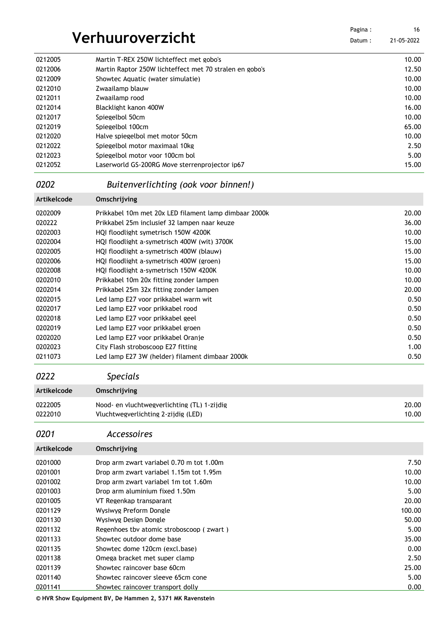| Verhuuroverzicht |                                                         | Pagina :<br>Datum: | 16<br>21-05-2022 |
|------------------|---------------------------------------------------------|--------------------|------------------|
| 0212005          | Martin T-REX 250W lichteffect met gobo's                |                    | 10.00            |
| 0212006          | Martin Raptor 250W lichteffect met 70 stralen en gobo's |                    | 12.50            |
| 0212009          | Showtec Aquatic (water simulatie)                       |                    | 10.00            |
| 0212010          | Zwaailamp blauw                                         |                    | 10.00            |
| 0212011          | Zwaailamp rood                                          |                    | 10.00            |
| 0212014          | Blacklight kanon 400W                                   |                    | 16.00            |
| 0212017          | Spiegelbol 50cm                                         |                    | 10.00            |
| 0212019          | Spiegelbol 100cm                                        |                    | 65.00            |
| 0212020          | Halve spiegelbol met motor 50cm                         |                    | 10.00            |
| 0212022          | Spiegelbol motor maximaal 10kg                          |                    | 2.50             |
| 0212023          | Spiegelbol motor voor 100cm bol                         |                    | 5.00             |
| 0212052          | Laserworld GS-200RG Move sterrenprojector ip67          |                    | 15.00            |

### *Buitenverlichting (ook voor binnen!)*

| Artikelcode | Omschrijving                                          |       |
|-------------|-------------------------------------------------------|-------|
| 0202009     | Prikkabel 10m met 20x LED filament lamp dimbaar 2000k | 20.00 |
| 020222      | Prikkabel 25m inclusief 32 lampen naar keuze          | 36.00 |
| 0202003     | HOI floodlight symetrisch 150W 4200K                  | 10.00 |
| 0202004     | HOI floodlight a-symetrisch 400W (wit) 3700K          | 15.00 |
| 0202005     | HOI floodlight a-symetrisch 400W (blauw)              | 15.00 |
| 0202006     | HOI floodlight a-symetrisch 400W (groen)              | 15.00 |
| 0202008     | HOI floodlight a-symetrisch 150W 4200K                | 10.00 |
| 0202010     | Prikkabel 10m 20x fitting zonder lampen               | 10.00 |
| 0202014     | Prikkabel 25m 32x fitting zonder lampen               | 20.00 |
| 0202015     | Led lamp E27 voor prikkabel warm wit                  | 0.50  |
| 0202017     | Led lamp E27 voor prikkabel rood                      | 0.50  |
| 0202018     | Led lamp E27 voor prikkabel geel                      | 0.50  |
| 0202019     | Led lamp E27 voor prikkabel groen                     | 0.50  |
| 0202020     | Led lamp E27 voor prikkabel Oranie                    | 0.50  |
| 0202023     | City Flash stroboscoop E27 fitting                    | 1.00  |
| 0211073     | Led lamp E27 3W (helder) filament dimbaar 2000k       | 0.50  |
|             |                                                       |       |

*Specials*

| Artikelcode | Omschrijving                                |       |
|-------------|---------------------------------------------|-------|
| 0222005     | Nood- en vluchtwegverlichting (TL) 1-zijdig | 20.00 |
| 0222010     | Vluchtwegverlichting 2-zijdig (LED)         | 10.00 |

### *Accessoires*

| <b>Artikelcode</b> | Omschrijving                             |        |
|--------------------|------------------------------------------|--------|
| 0201000            | Drop arm zwart variabel 0.70 m tot 1.00m | 7.50   |
| 0201001            | Drop arm zwart variabel 1.15m tot 1.95m  | 10.00  |
| 0201002            | Drop arm zwart variabel 1m tot 1.60m     | 10.00  |
| 0201003            | Drop arm aluminium fixed 1.50m           | 5.00   |
| 0201005            | VT Regenkap transparant                  | 20.00  |
| 0201129            | Wysiwyg Preform Dongle                   | 100.00 |
| 0201130            | Wysiwyg Design Dongle                    | 50.00  |
| 0201132            | Regenhoes tby atomic stroboscoop (zwart) | 5.00   |
| 0201133            | Showtec outdoor dome base                | 35.00  |
| 0201135            | Showtec dome 120cm (excl.base)           | 0.00   |
| 0201138            | Omega bracket met super clamp            | 2.50   |
| 0201139            | Showtec raincover base 60cm              | 25.00  |
| 0201140            | Showtec raincover sleeve 65cm cone       | 5.00   |
| 0201141            | Showtec raincover transport dolly        | 0.00   |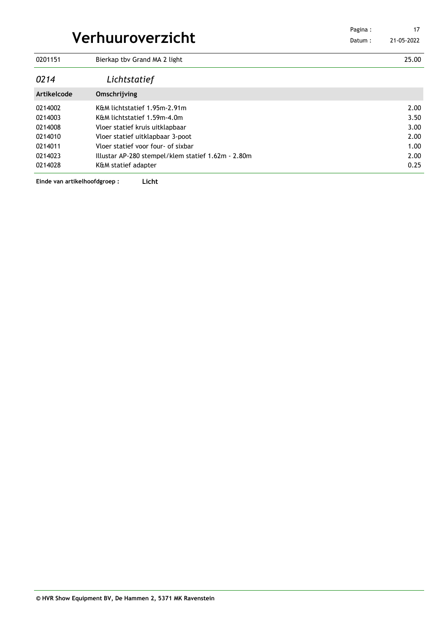| Verhuuroverzicht |                                                    | Pagina:<br>Datum: | 17<br>21-05-2022 |
|------------------|----------------------------------------------------|-------------------|------------------|
| 0201151          | Bierkap tby Grand MA 2 light                       |                   | 25.00            |
| 0214             | Lichtstatief                                       |                   |                  |
| Artikelcode      | Omschrijving                                       |                   |                  |
| 0214002          | K&M lichtstatief 1.95m-2.91m                       |                   | 2.00             |
| 0214003          | K&M lichtstatief 1.59m-4.0m                        |                   | 3.50             |
| 0214008          | Vloer statief kruis uitklapbaar                    |                   | 3.00             |
| 0214010          | Vloer statief uitklapbaar 3-poot                   |                   | 2.00             |
| 0214011          | Vloer statief voor four- of sixbar                 |                   | 1.00             |
| 0214023          | Illustar AP-280 stempel/klem statief 1.62m - 2.80m |                   | 2.00             |
| 0214028          | K&M statief adapter                                |                   | 0.25             |

**Einde van artikelhoofdgroep : Licht**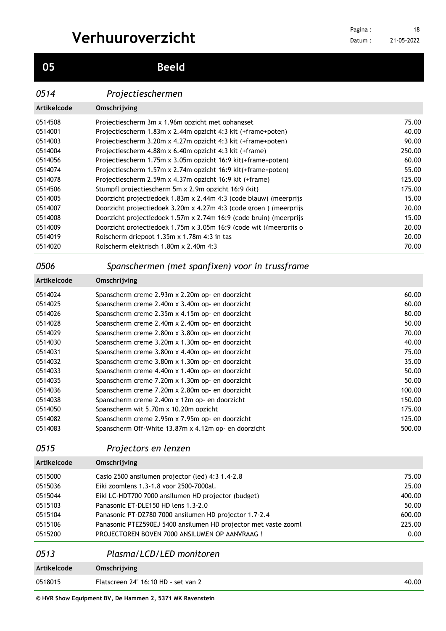**Beeld**

### *Projectieschermen*

| Artikelcode | Omschrijving                                                             |        |
|-------------|--------------------------------------------------------------------------|--------|
| 0514508     | Projectiescherm 3m x 1.96m opzicht met ophangset                         | 75.00  |
| 0514001     | Projectiescherm 1.83m x 2.44m opzicht 4:3 kit (+frame+poten)             | 40.00  |
| 0514003     | Projectiescherm 3.20m x 4.27m opzicht 4:3 kit (+frame+poten)             | 90.00  |
| 0514004     | Projectiescherm 4.88m x 6.40m opzicht 4:3 kit (+frame)                   | 250.00 |
| 0514056     | Projectiescherm 1.75m x 3.05m opzicht 16:9 kit(+frame+poten)             | 60.00  |
| 0514074     | Projectiescherm 1.57m x 2.74m opzicht 16:9 kit(+frame+poten)             | 55.00  |
| 0514078     | Projectiescherm 2.59m x 4.37m opzicht 16:9 kit (+frame)                  | 125.00 |
| 0514506     | Stumpfl projectiescherm 5m x 2.9m opzicht 16:9 (kit)                     | 175.00 |
| 0514005     | Doorzicht projectiedoek 1.83m x 2.44m 4:3 (code blauw) (meerprijs        | 15.00  |
| 0514007     | Doorzicht projectiedoek $3.20m \times 4.27m$ 4:3 (code groen) (meerprijs | 20.00  |
| 0514008     | Doorzicht projectiedoek 1.57m x 2.74m 16:9 (code bruin) (meerprijs       | 15.00  |
| 0514009     | Doorzicht projectiedoek 1.75m x 3.05m 16:9 (code wit) (meerprijs o       | 20.00  |
| 0514019     | Rolscherm driepoot 1.35m x 1.78m 4:3 in tas                              | 20.00  |
| 0514020     | Rolscherm elektrisch 1.80m x 2.40m 4:3                                   | 70.00  |

### *Spanschermen (met spanfixen) voor in trussframe*

| Artikelcode | Omschrijving                                         |        |
|-------------|------------------------------------------------------|--------|
| 0514024     | Spanscherm creme 2.93m x 2.20m op- en doorzicht      | 60.00  |
| 0514025     | Spanscherm creme 2.40m x 3.40m op- en doorzicht      | 60.00  |
| 0514026     | Spanscherm creme 2.35m x 4.15m op- en doorzicht      | 80.00  |
| 0514028     | Spanscherm creme 2.40m x 2.40m op- en doorzicht      | 50.00  |
| 0514029     | Spanscherm creme 2.80m x 3.80m op- en doorzicht      | 70.00  |
| 0514030     | Spanscherm creme 3.20m x 1.30m op- en doorzicht      | 40.00  |
| 0514031     | Spanscherm creme 3.80m x 4.40m op- en doorzicht      | 75.00  |
| 0514032     | Spanscherm creme 3.80m x 1.30m op- en doorzicht      | 35.00  |
| 0514033     | Spanscherm creme 4.40m x 1.40m op- en doorzicht      | 50.00  |
| 0514035     | Spanscherm creme 7.20m x 1.30m op- en doorzicht      | 50.00  |
| 0514036     | Spanscherm creme 7.20m x 2.80m op- en doorzicht      | 100.00 |
| 0514038     | Spanscherm creme 2.40m x 12m op- en doorzicht        | 150.00 |
| 0514050     | Spanscherm wit 5.70m x 10.20m opzicht                | 175.00 |
| 0514082     | Spanscherm creme 2.95m x 7.95m op- en doorzicht      | 125.00 |
| 0514083     | Spanscherm Off-White 13.87m x 4.12m op- en doorzicht | 500.00 |

### *Projectors en lenzen*

| Artikelcode | Omschrijving |
|-------------|--------------|
|             |              |

| 0515000 | Casio 2500 ansilumen projector (led) 4:3 1.4-2.8                | 75.00  |
|---------|-----------------------------------------------------------------|--------|
| 0515036 | Eiki zoomlens 1.3-1.8 voor 2500-7000al.                         | 25.00  |
| 0515044 | Eiki LC-HDT700 7000 ansilumen HD projector (budget)             | 400.00 |
| 0515103 | Panasonic ET-DLE150 HD lens 1.3-2.0                             | 50.00  |
| 0515104 | Panasonic PT-DZ780 7000 ansilumen HD projector 1.7-2.4          | 600.00 |
| 0515106 | Panasonic PTEZ590EJ 5400 ansilumen HD projector met vaste zooml | 225.00 |
| 0515200 | PROJECTOREN BOVEN 7000 ANSILUMEN OP AANVRAAG !                  | 0.00   |

| 0513        | Plasma/LCD/LED monitoren            |       |
|-------------|-------------------------------------|-------|
| Artikelcode | Omschrijving                        |       |
| 0518015     | Flatscreen 24" 16:10 HD - set van 2 | 40.00 |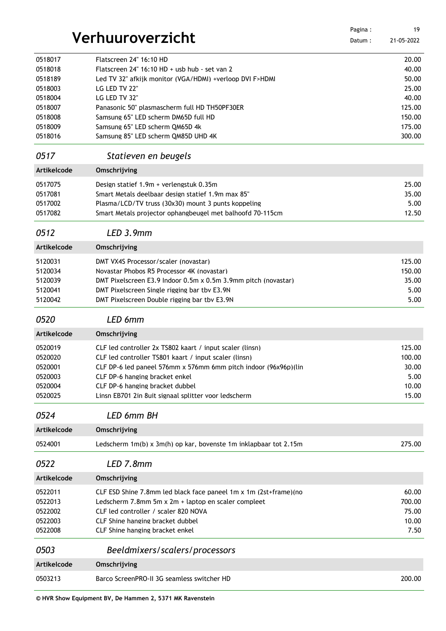|                    |                                                                  | Pagina: | 19         |
|--------------------|------------------------------------------------------------------|---------|------------|
|                    | Verhuuroverzicht                                                 | Datum:  | 21-05-2022 |
| 0518017            | Flatscreen 24" 16:10 HD                                          |         | 20.00      |
| 0518018            | Flatscreen 24" 16:10 HD + usb hub - set van 2                    |         | 40.00      |
| 0518189            | Led TV 32" afkijk monitor (VGA/HDMI) +verloop DVI F>HDMI         |         | 50.00      |
| 0518003            | LG LED TV 22"                                                    |         | 25.00      |
| 0518004            | LG LED TV 32"                                                    |         | 40.00      |
| 0518007            | Panasonic 50" plasmascherm full HD TH50PF30ER                    |         | 125.00     |
| 0518008            | Samsung 65" LED scherm DM65D full HD                             |         | 150.00     |
| 0518009            | Samsung 65" LED scherm QM65D 4k                                  |         | 175.00     |
| 0518016            | Samsung 85" LED scherm QM85D UHD 4K                              |         | 300.00     |
| 0517               | Statieven en beugels                                             |         |            |
| Artikelcode        | Omschrijving                                                     |         |            |
| 0517075            | Design statief 1.9m + verlengstuk 0.35m                          |         | 25.00      |
| 0517081            | Smart Metals deelbaar design statief 1.9m max 85"                |         | 35.00      |
| 0517002            | Plasma/LCD/TV truss (30x30) mount 3 punts koppeling              |         | 5.00       |
| 0517082            | Smart Metals projector ophangbeugel met balhoofd 70-115cm        |         | 12.50      |
| 0512               | LED 3.9mm                                                        |         |            |
| Artikelcode        | Omschrijving                                                     |         |            |
| 5120031            | DMT VX4S Processor/scaler (novastar)                             |         | 125.00     |
| 5120034            | Novastar Phobos R5 Processor 4K (novastar)                       |         | 150.00     |
| 5120039            | DMT Pixelscreen E3.9 Indoor 0.5m x 0.5m 3.9mm pitch (novastar)   |         | 35.00      |
| 5120041            | DMT Pixelscreen Single rigging bar tby E3.9N                     |         | 5.00       |
| 5120042            | DMT Pixelscreen Double rigging bar tbv E3.9N                     |         | 5.00       |
| 0520               | LED 6mm                                                          |         |            |
| Artikelcode        | Omschrijving                                                     |         |            |
| 0520019            | CLF led controller 2x TS802 kaart / input scaler (linsn)         |         | 125.00     |
| 0520020            | CLF led controller TS801 kaart / input scaler (linsn)            |         | 100.00     |
| 0520001            | CLF DP-6 led paneel 576mm x 576mm 6mm pitch indoor (96x96p)(lin  |         | 30.00      |
| 0520003            | CLF DP-6 hanging bracket enkel                                   |         | 5.00       |
| 0520004            | CLF DP-6 hanging bracket dubbel                                  |         | 10.00      |
| 0520025            | Linsn EB701 2in 8uit signaal splitter voor ledscherm             |         | 15.00      |
| 0524               | <b>LED 6mm BH</b>                                                |         |            |
| Artikelcode        | Omschrijving                                                     |         |            |
| 0524001            | Ledscherm 1m(b) x 3m(h) op kar, bovenste 1m inklapbaar tot 2.15m |         | 275.00     |
| 0522               | LED 7.8mm                                                        |         |            |
| <b>Artikelcode</b> | Omschrijving                                                     |         |            |
| 0522011            | CLF ESD Shine 7.8mm led black face paneel 1m x 1m (2st+frame)(no |         | 60.00      |
| 0522013            | Ledscherm 7.8mm 5m x 2m + laptop en scaler compleet              |         | 700.00     |
| 0522002            | CLF led controller / scaler 820 NOVA                             |         | 75.00      |
| 0522003            | CLF Shine hanging bracket dubbel                                 |         | 10.00      |
| 0522008            | CLF Shine hanging bracket enkel                                  |         | 7.50       |
| 0503               | Beeldmixers/scalers/processors                                   |         |            |
| Artikelcode        | Omschrijving                                                     |         |            |
| 0503213            | Barco ScreenPRO-II 3G seamless switcher HD                       |         | 200.00     |
|                    |                                                                  |         |            |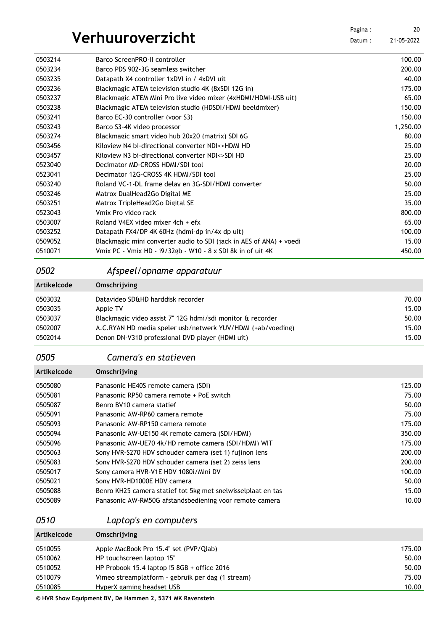Datum : 21-05-2022 

| 0503214 | Barco ScreenPRO-II controller                                       | 100.00   |
|---------|---------------------------------------------------------------------|----------|
| 0503234 | Barco PDS 902-3G seamless switcher                                  | 200.00   |
| 0503235 | Datapath X4 controller 1xDVI in / 4xDVI uit                         | 40.00    |
| 0503236 | Blackmagic ATEM television studio 4K (8xSDI 12G in)                 | 175.00   |
| 0503237 | Blackmagic ATEM Mini Pro live video mixer (4xHDMI/HDMI-USB uit)     | 65.00    |
| 0503238 | Blackmagic ATEM television studio (HDSDI/HDMI beeldmixer)           | 150.00   |
| 0503241 | Barco EC-30 controller (voor S3)                                    | 150.00   |
| 0503243 | Barco S3-4K video processor                                         | 1,250.00 |
| 0503274 | Blackmagic smart video hub 20x20 (matrix) SDI 6G                    | 80.00    |
| 0503456 | Kiloview N4 bi-directional converter NDI<>HDMI HD                   | 25.00    |
| 0503457 | Kiloview N3 bi-directional converter NDI<>SDI HD                    | 25.00    |
| 0523040 | Decimator MD-CROSS HDMI/SDI tool                                    | 20.00    |
| 0523041 | Decimator 12G-CROSS 4K HDMI/SDI tool                                | 25.00    |
| 0503240 | Roland VC-1-DL frame delay en 3G-SDI/HDMI converter                 | 50.00    |
| 0503246 | Matrox DualHead2Go Digital ME                                       | 25.00    |
| 0503251 | Matrox TripleHead2Go Digital SE                                     | 35.00    |
| 0523043 | Vmix Pro video rack                                                 | 800.00   |
| 0503007 | Roland V4EX video mixer 4ch + efx                                   | 65.00    |
| 0503252 | Datapath FX4/DP 4K 60Hz (hdmi-dp in/4x dp uit)                      | 100.00   |
| 0509052 | Blackmagic mini converter audio to SDI (jack in AES of ANA) + voedi | 15.00    |
| 0510071 | Vmix PC - Vmix HD - i9/32gb - W10 - 8 x SDI 8k in of uit 4K         | 450.00   |

### *Afspeel/opname apparatuur*

| Artikelcode | Omschrijving                                                |       |
|-------------|-------------------------------------------------------------|-------|
| 0503032     | Datavideo SD&HD harddisk recorder                           | 70.00 |
| 0503035     | Apple TV                                                    | 15.00 |
| 0503037     | Blackmagic video assist 7" 12G hdmi/sdi monitor & recorder  | 50.00 |
| 0502007     | A.C.RYAN HD media speler usb/netwerk YUV/HDMI (+ab/voeding) | 15.00 |
| 0502014     | Denon DN-V310 professional DVD player (HDMI uit)            | 15.00 |

*Camera's en statieven*

| Omschrijving                                                 |        |
|--------------------------------------------------------------|--------|
| Panasonic HE40S remote camera (SDI)                          | 125.00 |
| Panasonic RP50 camera remote + PoE switch                    | 75.00  |
| Benro BV10 camera statief                                    | 50.00  |
| Panasonic AW-RP60 camera remote                              | 75.00  |
| Panasonic AW-RP150 camera remote                             | 175.00 |
| Panasonic AW-UE150 4K remote camera (SDI/HDMI)               | 350.00 |
| Panasonic AW-UE70 4k/HD remote camera (SDI/HDMI) WIT         | 175.00 |
| Sony HVR-S270 HDV schouder camera (set 1) fuijnon lens       | 200.00 |
| Sony HVR-S270 HDV schouder camera (set 2) zeiss lens         | 200.00 |
| Sony camera HVR-V1E HDV 1080i/Mini DV                        | 100.00 |
| Sony HVR-HD1000E HDV camera                                  | 50.00  |
| Benro KH25 camera statief tot 5kg met snelwisselplaat en tas | 15.00  |
| Panasonic AW-RM50G afstandsbediening voor remote camera      | 10.00  |
|                                                              |        |

*Laptop's en computers*

| Artikelcode | Omschrijving                                      |        |
|-------------|---------------------------------------------------|--------|
| 0510055     | Apple MacBook Pro 15.4" set (PVP/Qlab)            | 175.00 |
| 0510062     | HP touchscreen laptop 15"                         | 50.00  |
| 0510052     | HP Probook 15.4 laptop i5 $8GB +$ office 2016     | 50.00  |
| 0510079     | Vimeo streamplatform - gebruik per dag (1 stream) | 75.00  |
| 0510085     | HyperX gaming headset USB                         | 10.00  |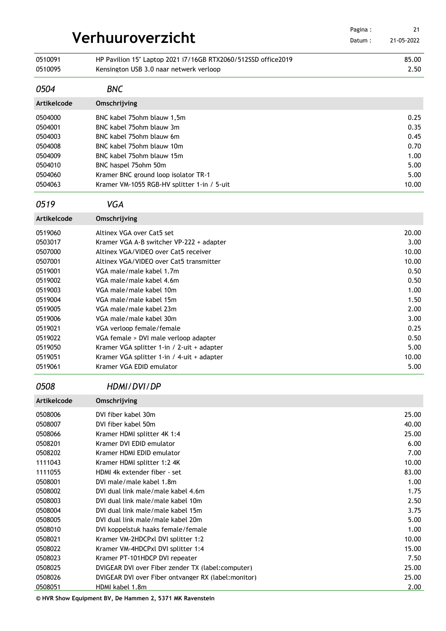|                    | Verhuuroverzicht                                                                                         | Pagina:<br>Datum: | 21<br>21-05-2022 |
|--------------------|----------------------------------------------------------------------------------------------------------|-------------------|------------------|
| 0510091<br>0510095 | HP Pavilion 15" Laptop 2021 i7/16GB RTX2060/512SSD office2019<br>Kensington USB 3.0 naar netwerk verloop |                   | 85.00<br>2.50    |
| 0504               | <b>BNC</b>                                                                                               |                   |                  |
| Artikelcode        | Omschrijving                                                                                             |                   |                  |
| 0504000            | BNC kabel 75 ohm blauw 1,5m                                                                              |                   | 0.25             |
| 0504001            | BNC kabel 75ohm blauw 3m                                                                                 |                   | 0.35             |
| 0504003            | BNC kabel 75ohm blauw 6m                                                                                 |                   | 0.45             |
| 0504008            | BNC kabel 75ohm blauw 10m                                                                                |                   | 0.70             |
| 0504009            | BNC kabel 75ohm blauw 15m                                                                                |                   | 1.00             |
| 0504010            | BNC haspel 75ohm 50m                                                                                     |                   | 5.00             |
| 0504060            | Kramer BNC ground loop isolator TR-1                                                                     |                   | 5.00             |
| 0504063            | Kramer VM-1055 RGB-HV splitter 1-in / 5-uit                                                              |                   | 10.00            |
| 0519               | <b>VGA</b>                                                                                               |                   |                  |
| Artikelcode        | Omschrijving                                                                                             |                   |                  |
| 0519060            | Altinex VGA over Cat5 set                                                                                |                   | 20.00            |
| 0503017            | Kramer VGA A-B switcher VP-222 + adapter                                                                 |                   | 3.00             |
| 0507000            | Altinex VGA/VIDEO over Cat5 receiver                                                                     |                   | 10.00            |
| 0507001            | Altinex VGA/VIDEO over Cat5 transmitter                                                                  |                   | 10.00            |
| 0519001            | VGA male/male kabel 1.7m                                                                                 |                   | 0.50             |
| 0519002            | VGA male/male kabel 4.6m                                                                                 |                   | 0.50             |
| 0519003            | VGA male/male kabel 10m                                                                                  |                   | 1.00             |
| 0519004<br>0519005 | VGA male/male kabel 15m<br>VGA male/male kabel 23m                                                       |                   | 1.50<br>2.00     |
| 0519006            | VGA male/male kabel 30m                                                                                  |                   | 3.00             |
| 0519021            | VGA verloop female/female                                                                                |                   | 0.25             |
| 0519022            | VGA female > DVI male verloop adapter                                                                    |                   | 0.50             |
| 0519050            | Kramer VGA splitter 1-in / 2-uit + adapter                                                               |                   | 5.00             |
| 0519051            | Kramer VGA splitter 1-in / 4-uit + adapter                                                               |                   | 10.00            |
| 0519061            | Kramer VGA EDID emulator                                                                                 |                   | 5.00             |
| 0508               | HDMI/DVI/DP                                                                                              |                   |                  |
| <b>Artikelcode</b> | Omschrijving                                                                                             |                   |                  |
| 0508006            | DVI fiber kabel 30m                                                                                      |                   | 25.00            |
| 0508007            | DVI fiber kabel 50m                                                                                      |                   | 40.00            |
| 0508066            | Kramer HDMI splitter 4K 1:4                                                                              |                   | 25.00            |
| 0508201            | Kramer DVI EDID emulator                                                                                 |                   | 6.00             |
| 0508202            | Kramer HDMI EDID emulator                                                                                |                   | 7.00             |
| 1111043            | Kramer HDMI splitter 1:2 4K                                                                              |                   | 10.00            |
| 1111055            | HDMI 4k extender fiber - set                                                                             |                   | 83.00            |
| 0508001            | DVI male/male kabel 1.8m                                                                                 |                   | 1.00             |
| 0508002            | DVI dual link male/male kabel 4.6m                                                                       |                   | 1.75             |
| 0508003            | DVI dual link male/male kabel 10m                                                                        |                   | 2.50             |
| 0508004<br>0508005 | DVI dual link male/male kabel 15m<br>DVI dual link male/male kabel 20m                                   |                   | 3.75<br>5.00     |
| 0508010            | DVI koppelstuk haaks female/female                                                                       |                   | 1.00             |
| 0508021            | Kramer VM-2HDCPxl DVI splitter 1:2                                                                       |                   | 10.00            |
| 0508022            | Kramer VM-4HDCPxl DVI splitter 1:4                                                                       |                   | 15.00            |
| 0508023            | Kramer PT-101HDCP DVI repeater                                                                           |                   | 7.50             |
| 0508025            | DVIGEAR DVI over Fiber zender TX (label:computer)                                                        |                   | 25.00            |
| 0508026            | DVIGEAR DVI over Fiber ontvanger RX (label: monitor)                                                     |                   | 25.00            |
| 0508051            | HDMI kabel 1.8m                                                                                          |                   | 2.00             |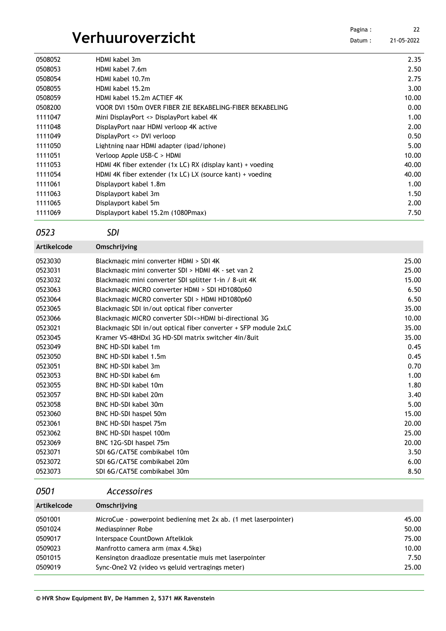## **Verhuuroverzicht**

| Pagina : | 22         |
|----------|------------|
| Datum:   | 21-05-2022 |

| 0508052 | HDMI kabel 3m                                              | 2.35  |
|---------|------------------------------------------------------------|-------|
| 0508053 | HDMI kabel 7.6m                                            | 2.50  |
| 0508054 | HDMI kabel 10.7m                                           | 2.75  |
| 0508055 | HDMI kabel 15.2m                                           | 3.00  |
| 0508059 | HDMI kabel 15.2m ACTIEF 4K                                 | 10.00 |
| 0508200 | VOOR DVI 150m OVER FIBER ZIE BEKABELING-FIBER BEKABELING   | 0.00  |
| 1111047 | Mini DisplayPort <> DisplayPort kabel 4K                   | 1.00  |
| 1111048 | DisplayPort naar HDMI verloop 4K active                    | 2.00  |
| 1111049 | DisplayPort <> DVI verloop                                 | 0.50  |
| 1111050 | Lightning naar HDMI adapter (ipad/iphone)                  | 5.00  |
| 1111051 | Verloop Apple USB-C > HDML                                 | 10.00 |
| 1111053 | HDMI 4K fiber extender (1x LC) RX (display kant) + voeding | 40.00 |
| 1111054 | HDMI 4K fiber extender (1x LC) LX (source kant) + voeding  | 40.00 |
| 1111061 | Displayport kabel 1.8m                                     | 1.00  |
| 1111063 | Displayport kabel 3m                                       | 1.50  |
| 1111065 | Displayport kabel 5m                                       | 2.00  |
| 1111069 | Displayport kabel 15.2m (1080Pmax)                         | 7.50  |

*SDI*

| Artikelcode | Omschrijving                                                    |       |
|-------------|-----------------------------------------------------------------|-------|
| 0523030     | Blackmagic mini converter HDMI > SDI 4K                         | 25.00 |
| 0523031     | Blackmagic mini converter SDI > HDMI 4K - set van 2             | 25.00 |
| 0523032     | Blackmagic mini converter SDI splitter 1-in / 8-uit 4K          | 15.00 |
| 0523063     | Blackmagic MICRO converter HDMI > SDI HD1080p60                 | 6.50  |
| 0523064     | Blackmagic MICRO converter SDI > HDMI HD1080p60                 | 6.50  |
| 0523065     | Blackmagic SDI in/out optical fiber converter                   | 35.00 |
| 0523066     | Blackmagic MICRO converter SDI<>HDMI bi-directional 3G          | 10.00 |
| 0523021     | Blackmagic SDI in/out optical fiber converter + SFP module 2xLC | 35.00 |
| 0523045     | Kramer VS-48HDxL 3G HD-SDL matrix switcher 4in/8uit             | 35.00 |
| 0523049     | BNC HD-SDI kabel 1m                                             | 0.45  |
| 0523050     | BNC HD-SDI kabel 1.5m                                           | 0.45  |
| 0523051     | BNC HD-SDI kabel 3m                                             | 0.70  |
| 0523053     | BNC HD-SDI kabel 6m                                             | 1.00  |
| 0523055     | BNC HD-SDI kabel 10m                                            | 1.80  |
| 0523057     | BNC HD-SDI kabel 20m                                            | 3.40  |
| 0523058     | BNC HD-SDI kabel 30m                                            | 5.00  |
| 0523060     | BNC HD-SDI haspel 50m                                           | 15.00 |
| 0523061     | BNC HD-SDI haspel 75m                                           | 20.00 |
| 0523062     | BNC HD-SDI haspel 100m                                          | 25.00 |
| 0523069     | BNC 12G-SDI haspel 75m                                          | 20.00 |
| 0523071     | SDI 6G/CAT5E combikabel 10m                                     | 3.50  |
| 0523072     | SDI 6G/CAT5E combikabel 20m                                     | 6.00  |
| 0523073     | SDI 6G/CAT5E combikabel 30m                                     | 8.50  |

### *Accessoires*

| Artikelcode | Omschrijving                                                    |       |
|-------------|-----------------------------------------------------------------|-------|
| 0501001     | MicroCue - powerpoint bediening met 2x ab. (1 met laserpointer) | 45.00 |
| 0501024     | Mediaspinner Robe                                               | 50.00 |
| 0509017     | Interspace CountDown Aftelklok                                  | 75.00 |
| 0509023     | Manfrotto camera arm (max 4.5kg)                                | 10.00 |
| 0501015     | Kensington draadloze presentatie muis met laserpointer          | 7.50  |
| 0509019     | Sync-One2 V2 (video vs geluid vertragings meter)                | 25.00 |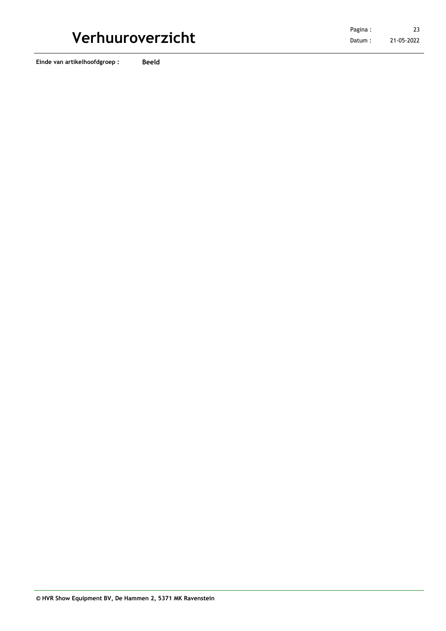**Einde van artikelhoofdgroep : Beeld**

21-05-2022 23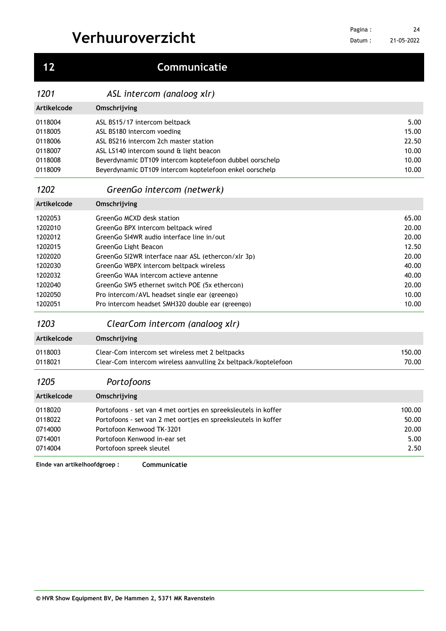| 5.00<br>15.00<br>22.50<br>10.00<br>10.00<br>10.00<br>65.00<br>20.00<br>20.00<br>12.50 |
|---------------------------------------------------------------------------------------|
|                                                                                       |
|                                                                                       |
|                                                                                       |
|                                                                                       |
|                                                                                       |
|                                                                                       |
|                                                                                       |
|                                                                                       |
|                                                                                       |
|                                                                                       |
|                                                                                       |
|                                                                                       |
|                                                                                       |
|                                                                                       |
| 20.00                                                                                 |
| 40.00                                                                                 |
| 40.00                                                                                 |
| 20.00                                                                                 |
| 10.00                                                                                 |
| 10.00                                                                                 |
|                                                                                       |
|                                                                                       |
| 150.00                                                                                |
| 70.00                                                                                 |
|                                                                                       |
|                                                                                       |
| 100.00                                                                                |
| 50.00                                                                                 |
| 20.00                                                                                 |
| 5.00                                                                                  |
| 2.50                                                                                  |
|                                                                                       |

**Einde van artikelhoofdgroep : Communicatie**

Datum : 21-05-2022 

# **Communicatie**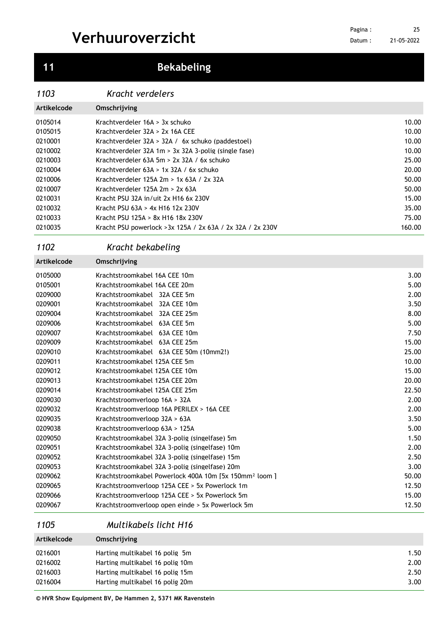## **Bekabeling**

### *Kracht verdelers*

| Artikelcode | Omschrijving                                               |        |
|-------------|------------------------------------------------------------|--------|
| 0105014     | Krachtverdeler 16A > 3x schuko                             | 10.00  |
| 0105015     | Krachtverdeler $32A > 2x$ 16A CEE                          | 10.00  |
| 0210001     | Krachtverdeler $32A > 32A / 6x$ schuko (paddestoel)        | 10.00  |
| 0210002     | Krachtverdeler 32A 1m $>$ 3x 32A 3-polig (single fase)     | 10.00  |
| 0210003     | Krachtverdeler $63A$ 5m > 2x 32A / 6x schuko               | 25.00  |
| 0210004     | Krachtverdeler $63A > 1x 32A / 6x$ schuko                  | 20.00  |
| 0210006     | Krachtverdeler 125A $2m > 1x$ 63A / $2x$ 32A               | 50.00  |
| 0210007     | Krachtverdeler 125A $2m > 2x$ 63A                          | 50.00  |
| 0210031     | Kracht PSU 32A in/uit 2x H16 6x 230V                       | 15.00  |
| 0210032     | Kracht PSU 63A > 4x H16 12x 230V                           | 35.00  |
| 0210033     | Kracht PSU 125A > 8x H16 18x 230V                          | 75.00  |
| 0210035     | Kracht PSU powerlock > 3x 125A / 2x 63A / 2x 32A / 2x 230V | 160.00 |

### *Kracht bekabeling*

| Artikelcode | Omschrijving                                                      |       |
|-------------|-------------------------------------------------------------------|-------|
| 0105000     | Krachtstroomkabel 16A CEE 10m                                     | 3.00  |
| 0105001     | Krachtstroomkabel 16A CEE 20m                                     | 5.00  |
| 0209000     | Krachtstroomkabel 32A CEE 5m                                      | 2.00  |
| 0209001     | Krachtstroomkabel 32A CEE 10m                                     | 3.50  |
| 0209004     | Krachtstroomkabel 32A CEE 25m                                     | 8.00  |
| 0209006     | Krachtstroomkabel 63A CEE 5m                                      | 5.00  |
| 0209007     | Krachtstroomkabel 63A CEE 10m                                     | 7.50  |
| 0209009     | Krachtstroomkabel 63A CEE 25m                                     | 15.00 |
| 0209010     | Krachtstroomkabel 63A CEE 50m (10mm2!)                            | 25.00 |
| 0209011     | Krachtstroomkabel 125A CEE 5m                                     | 10.00 |
| 0209012     | Krachtstroomkabel 125A CEE 10m                                    | 15.00 |
| 0209013     | Krachtstroomkabel 125A CEE 20m                                    | 20.00 |
| 0209014     | Krachtstroomkabel 125A CEE 25m                                    | 22.50 |
| 0209030     | Krachtstroomverloop 16A > 32A                                     | 2.00  |
| 0209032     | Krachtstroomverloop 16A PERILEX > 16A CEE                         | 2.00  |
| 0209035     | Krachtstroomverloop 32A > 63A                                     | 3.50  |
| 0209038     | Krachtstroomverloop 63A > 125A                                    | 5.00  |
| 0209050     | Krachtstroomkabel 32A 3-polig (singelfase) 5m                     | 1.50  |
| 0209051     | Krachtstroomkabel 32A 3-polig (singelfase) 10m                    | 2.00  |
| 0209052     | Krachtstroomkabel 32A 3-polig (singelfase) 15m                    | 2.50  |
| 0209053     | Krachtstroomkabel 32A 3-polig (singelfase) 20m                    | 3.00  |
| 0209062     | Krachtstroomkabel Powerlock 400A 10m [5x 150mm <sup>2</sup> loom] | 50.00 |
| 0209065     | Krachtstroomverloop 125A CEE > 5x Powerlock 1m                    | 12.50 |
| 0209066     | Krachtstroomverloop 125A CEE > 5x Powerlock 5m                    | 15.00 |
| 0209067     | Krachtstroomverloop open einde > 5x Powerlock 5m                  | 12.50 |

### *Multikabels licht H16*

| Artikelcode | Omschrijving                    |      |
|-------------|---------------------------------|------|
| 0216001     | Harting multikabel 16 polig 5m  | 1.50 |
| 0216002     | Harting multikabel 16 polig 10m | 2.00 |
| 0216003     | Harting multikabel 16 polig 15m | 2.50 |
| 0216004     | Harting multikabel 16 polig 20m | 3.00 |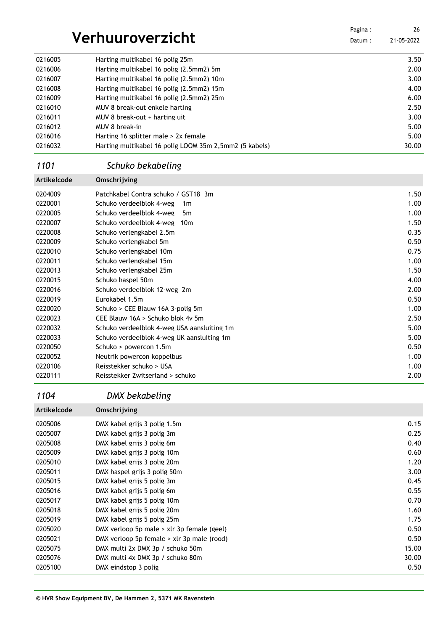|         |                                          | Pagina : | 26         |
|---------|------------------------------------------|----------|------------|
|         | Verhuuroverzicht                         | Datum:   | 21-05-2022 |
| 0216005 | Harting multikabel 16 polig 25m          |          | 3.50       |
| 0216006 | Harting multikabel 16 polig (2.5mm2) 5m  |          | 2.00       |
| 0216007 | Harting multikabel 16 polig (2.5mm2) 10m |          | 3.00       |
| 0216008 | Harting multikabel 16 polig (2.5mm2) 15m |          | 4.00       |
| 0216009 | Harting multikabel 16 polig (2.5mm2) 25m |          | 6.00       |
| 0216010 | MUV 8 break-out enkele harting           |          | 2.50       |
| 0216011 | MUV 8 break-out + harting uit            |          | 3.00       |
|         |                                          |          |            |

| 0216012 | MUV 8 break-in                                         | 5.00  |
|---------|--------------------------------------------------------|-------|
| 0216016 | Harting 16 splitter male > 2x female                   | 5.00  |
| 0216032 | Harting multikabel 16 polig LOOM 35m 2,5mm2 (5 kabels) | 30.00 |

×

### *Schuko bekabeling*

| Artikelcode | Omschrijving                                |      |
|-------------|---------------------------------------------|------|
| 0204009     | Patchkabel Contra schuko / GST18 3m         | 1.50 |
| 0220001     | Schuko verdeelblok 4-weg<br>1 <sub>m</sub>  | 1.00 |
| 0220005     | Schuko verdeelblok 4-weg<br>5m              | 1.00 |
| 0220007     | Schuko verdeelblok 4-weg<br>10 <sub>m</sub> | 1.50 |
| 0220008     | Schuko verlengkabel 2.5m                    | 0.35 |
| 0220009     | Schuko verlengkabel 5m                      | 0.50 |
| 0220010     | Schuko verlengkabel 10m                     | 0.75 |
| 0220011     | Schuko verlengkabel 15m                     | 1.00 |
| 0220013     | Schuko verlengkabel 25m                     | 1.50 |
| 0220015     | Schuko haspel 50m                           | 4.00 |
| 0220016     | Schuko verdeelblok 12-weg 2m                | 2.00 |
| 0220019     | Eurokabel 1.5m                              | 0.50 |
| 0220020     | Schuko > CEE Blauw 16A 3-polig 5m           | 1.00 |
| 0220023     | CEE Blauw 16A > Schuko blok 4v 5m           | 2.50 |
| 0220032     | Schuko verdeelblok 4-weg USA aansluiting 1m | 5.00 |
| 0220033     | Schuko verdeelblok 4-weg UK aansluiting 1m  | 5.00 |
| 0220050     | Schuko > powercon 1.5m                      | 0.50 |
| 0220052     | Neutrik powercon koppelbus                  | 1.00 |
| 0220106     | Reisstekker schuko > USA                    | 1.00 |
| 0220111     | Reisstekker Zwitserland > schuko            | 2.00 |

### *DMX bekabeling*

| Artikelcode | Omschrijving                                 |       |
|-------------|----------------------------------------------|-------|
| 0205006     | DMX kabel grijs 3 polig 1.5m                 | 0.15  |
| 0205007     | DMX kabel grijs 3 polig 3m                   | 0.25  |
| 0205008     | DMX kabel grijs 3 poljg 6m                   | 0.40  |
| 0205009     | DMX kabel grijs 3 polig 10m                  | 0.60  |
| 0205010     | DMX kabel grijs 3 polig 20m                  | 1.20  |
| 0205011     | DMX haspel grijs 3 polig 50m                 | 3.00  |
| 0205015     | DMX kabel grijs 5 polig 3m                   | 0.45  |
| 0205016     | DMX kabel grijs 5 polig 6m                   | 0.55  |
| 0205017     | DMX kabel grijs 5 poljg 10m                  | 0.70  |
| 0205018     | DMX kabel grijs 5 poljg 20m                  | 1.60  |
| 0205019     | DMX kabel grijs 5 polig 25m                  | 1.75  |
| 0205020     | DMX verloop 5p male $>$ xlr 3p female (geel) | 0.50  |
| 0205021     | DMX verloop 5p female > xlr 3p male (rood)   | 0.50  |
| 0205075     | DMX multi 2x DMX 3p / schuko 50m             | 15.00 |
| 0205076     | DMX multi 4x DMX 3p / schuko 80m             | 30.00 |
| 0205100     | DMX eindstop 3 polig                         | 0.50  |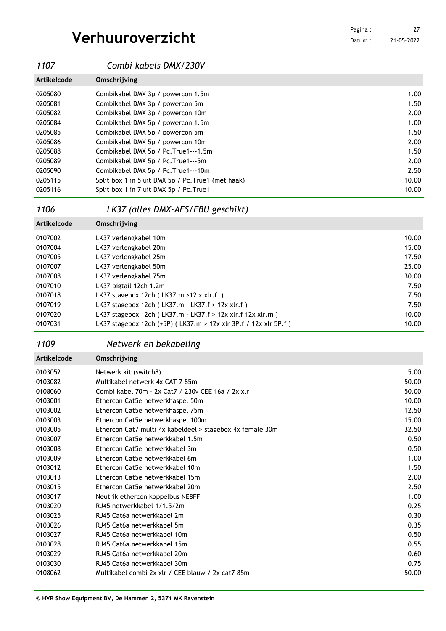21-05-2022 

| 1107        | Combi kabels DMX/230V                               |       |
|-------------|-----------------------------------------------------|-------|
| Artikelcode | Omschrijving                                        |       |
| 0205080     | Combikabel DMX 3p / powercon 1.5m                   | 1.00  |
| 0205081     | Combikabel DMX 3p / powercon 5m                     | 1.50  |
| 0205082     | Combikabel DMX 3p / powercon 10m                    | 2.00  |
| 0205084     | Combikabel DMX 5p / powercon 1.5m                   | 1.00  |
| 0205085     | Combikabel DMX 5p / powercon 5m                     | 1.50  |
| 0205086     | Combikabel DMX 5p / powercon 10m                    | 2.00  |
| 0205088     | Combikabel DMX 5p / Pc. True 1---1.5m               | 1.50  |
| 0205089     | Combikabel DMX 5p / Pc. True 1--- 5m                | 2.00  |
| 0205090     | Combikabel DMX 5p / Pc. True 1---10m                | 2.50  |
| 0205115     | Split box 1 in 5 uit DMX 5p / Pc. True 1 (met haak) | 10.00 |
| 0205116     | Split box 1 in 7 uit DMX 5p / Pc. True1             | 10.00 |

### *LK37 (alles DMX-AES/EBU geschikt)*

| Artikelcode | Omschrijving                                                     |       |
|-------------|------------------------------------------------------------------|-------|
| 0107002     | LK37 verlengkabel 10m                                            | 10.00 |
| 0107004     | LK37 verlengkabel 20m                                            | 15.00 |
| 0107005     | LK37 verlengkabel 25m                                            | 17.50 |
| 0107007     | LK37 verlengkabel 50m                                            | 25.00 |
| 0107008     | LK37 verlengkabel 75m                                            | 30.00 |
| 0107010     | LK37 pigtail 12ch 1.2m                                           | 7.50  |
| 0107018     | LK37 stagebox 12ch (LK37.m > 12 x xlr.f)                         | 7.50  |
| 0107019     | LK37 stagebox 12ch (LK37.m - LK37.f > 12x xlr.f)                 | 7.50  |
| 0107020     | LK37 stagebox 12ch (LK37.m - LK37.f > 12x xlr.f 12x xlr.m)       | 10.00 |
| 0107031     | LK37 stagebox 12ch (+5P) (LK37.m > 12x xlr 3P.f / 12x xlr 5P.f ) | 10.00 |

## *Netwerk en bekabeling*

| Artikelcode | Omschrijving                                              |       |
|-------------|-----------------------------------------------------------|-------|
| 0103052     | Netwerk kit (switch8)                                     | 5.00  |
| 0103082     | Multikabel netwerk 4x CAT 7 85m                           | 50.00 |
| 0108060     | Combi kabel 70m - 2x Cat7 / 230v CEE 16a / 2x xlr         | 50.00 |
| 0103001     | Ethercon Cat5e netwerkhaspel 50m                          | 10.00 |
| 0103002     | Ethercon Cat5e netwerkhaspel 75m                          | 12.50 |
| 0103003     | Ethercon Cat5e netwerkhaspel 100m                         | 15.00 |
| 0103005     | Ethercon Cat7 multi 4x kabeldeel > stagebox 4x female 30m | 32.50 |
| 0103007     | Ethercon Cat5e netwerkkabel 1.5m                          | 0.50  |
| 0103008     | Ethercon Cat5e netwerkkabel 3m                            | 0.50  |
| 0103009     | Ethercon Cat5e netwerkkabel 6m                            | 1.00  |
| 0103012     | Ethercon Cat5e netwerkkabel 10m                           | 1.50  |
| 0103013     | Ethercon Cat5e netwerkkabel 15m                           | 2.00  |
| 0103015     | Ethercon Cat5e netwerkkabel 20m                           | 2.50  |
| 0103017     | Neutrik ethercon koppelbus NE8FF                          | 1.00  |
| 0103020     | RJ45 netwerkkabel 1/1.5/2m                                | 0.25  |
| 0103025     | RJ45 Cat6a netwerkkabel 2m                                | 0.30  |
| 0103026     | RJ45 Cat6a netwerkkabel 5m                                | 0.35  |
| 0103027     | RJ45 Cat6a netwerkkabel 10m                               | 0.50  |
| 0103028     | RJ45 Cat6a netwerkkabel 15m                               | 0.55  |
| 0103029     | RJ45 Cat6a netwerkkabel 20m                               | 0.60  |
| 0103030     | RJ45 Cat6a netwerkkabel 30m                               | 0.75  |
| 0108062     | Multikabel combi 2x xlr / CEE blauw / 2x cat7 85m         | 50.00 |
|             |                                                           |       |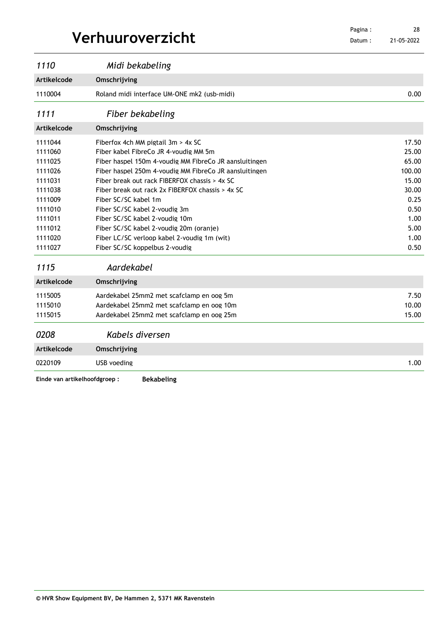Datum : 21-05-2022 

| 1110                          | Midi bekabeling                                        |        |
|-------------------------------|--------------------------------------------------------|--------|
| Artikelcode                   | Omschrijving                                           |        |
| 1110004                       | Roland midi interface UM-ONE mk2 (usb-midi)            | 0.00   |
| 1111                          | Fiber bekabeling                                       |        |
| Artikelcode                   | Omschrijving                                           |        |
| 1111044                       | Fiberfox 4ch MM pigtail 3m > 4x SC                     | 17.50  |
| 1111060                       | Fiber kabel FibreCo JR 4-voudig MM 5m                  | 25.00  |
| 1111025                       | Fiber haspel 150m 4-voudig MM FibreCo JR aansluitingen | 65.00  |
| 1111026                       | Fiber haspel 250m 4-voudig MM FibreCo JR aansluitingen | 100.00 |
| 1111031                       | Fiber break out rack FIBERFOX chassis > 4x SC          | 15.00  |
| 1111038                       | Fiber break out rack 2x FIBERFOX chassis > 4x SC       | 30.00  |
| 1111009                       | Fiber SC/SC kabel 1m                                   | 0.25   |
| 1111010                       | Fiber SC/SC kabel 2-voudig 3m                          | 0.50   |
| 1111011                       | Fiber SC/SC kabel 2-voudig 10m                         | 1.00   |
| 1111012                       | Fiber SC/SC kabel 2-voudig 20m (oranje)                | 5.00   |
| 1111020                       | Fiber LC/SC verloop kabel 2-voudig 1m (wit)            | 1.00   |
| 1111027                       | Fiber SC/SC koppelbus 2-voudig                         | 0.50   |
| 1115                          | Aardekabel                                             |        |
| Artikelcode                   | Omschrijving                                           |        |
| 1115005                       | Aardekabel 25mm2 met scafclamp en oog 5m               | 7.50   |
| 1115010                       | Aardekabel 25mm2 met scafclamp en oog 10m              | 10.00  |
| 1115015                       | Aardekabel 25mm2 met scafclamp en oog 25m              | 15.00  |
| 0208                          | Kabels diversen                                        |        |
| <b>Artikelcode</b>            | Omschrijving                                           |        |
| 0220109                       | USB voeding                                            | 1.00   |
| Einde van artikelhoofdgroep : | <b>Bekabeling</b>                                      |        |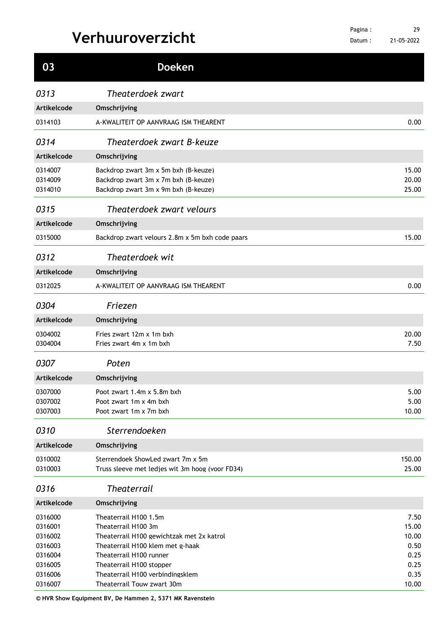| 03                            | <b>Doeken</b>                                                                                                        |                         |
|-------------------------------|----------------------------------------------------------------------------------------------------------------------|-------------------------|
| 0313                          | Theaterdoek zwart                                                                                                    |                         |
| Artikelcode                   | Omschrijving                                                                                                         |                         |
| 0314103                       | A-KWALITEIT OP AANVRAAG ISM THEARENT                                                                                 | 0.00                    |
| 0314                          | Theaterdoek zwart B-keuze                                                                                            |                         |
| <b>Artikelcode</b>            | Omschrijving                                                                                                         |                         |
| 0314007<br>0314009<br>0314010 | Backdrop zwart 3m x 5m bxh (B-keuze)<br>Backdrop zwart 3m x 7m bxh (B-keuze)<br>Backdrop zwart 3m x 9m bxh (B-keuze) | 15.00<br>20.00<br>25.00 |
| 0315                          | Theaterdoek zwart velours                                                                                            |                         |
| <b>Artikelcode</b>            | Omschrijving                                                                                                         |                         |
| 0315000                       | Backdrop zwart velours 2.8m x 5m bxh code paars                                                                      | 15.00                   |
| 0312                          | Theaterdoek wit                                                                                                      |                         |
| Artikelcode                   | Omschrijving                                                                                                         |                         |
| 0312025                       | A-KWALITEIT OP AANVRAAG ISM THEARENT                                                                                 | 0.00                    |
| 0304                          | Friezen                                                                                                              |                         |
| Artikelcode                   | Omschrijving                                                                                                         |                         |
| 0304002<br>0304004            | Fries zwart 12m x 1m bxh<br>Fries zwart 4m x 1m bxh                                                                  | 20.00<br>7.50           |
| 0307                          | Poten                                                                                                                |                         |
| Artikelcode                   | Omschrijving                                                                                                         |                         |
| 0307000                       | Poot zwart 1.4m x 5.8m bxh                                                                                           | 5.00                    |
| 0307002<br>0307003            | Poot zwart 1m x 4m bxh<br>Poot zwart 1m x 7m bxh                                                                     | 5.00<br>10.00           |
| 0310                          | Sterrendoeken                                                                                                        |                         |
| Artikelcode                   | Omschrijving                                                                                                         |                         |
| 0310002<br>0310003            | Sterrendoek ShowLed zwart 7m x 5m<br>Truss sleeve met ledjes wit 3m hoog (voor FD34)                                 | 150.00<br>25.00         |
| 0316                          | <b>Theaterrail</b>                                                                                                   |                         |
| Artikelcode                   | Omschrijving                                                                                                         |                         |
| 0316000<br>0316001            | Theaterrail H100 1.5m<br>Theaterrail H100 3m                                                                         | 7.50<br>15.00           |
| 0316002                       | Theaterrail H100 gewichtzak met 2x katrol                                                                            | 10.00                   |
| 0316003<br>0316004            | Theaterrail H100 klem met g-haak<br>Theaterrail H100 runner                                                          | 0.50<br>0.25            |
| 0316005                       | Theaterrail H100 stopper                                                                                             | 0.25                    |
| 0316006                       | Theaterrail H100 verbindingsklem                                                                                     | 0.35                    |
| 0316007                       | Theaterrail Touw zwart 30m                                                                                           | 10.00                   |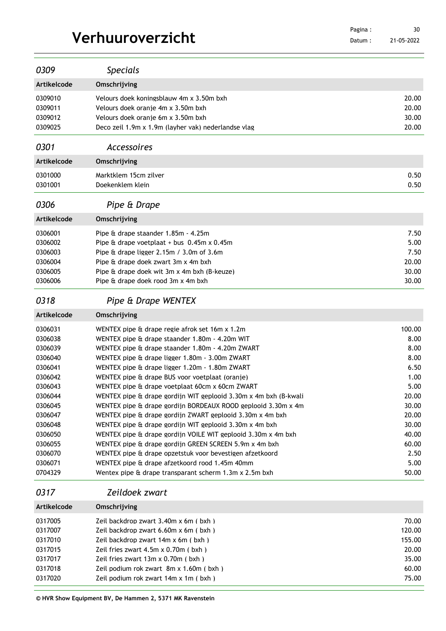21-05-2022 

| 0309                                                                                                                                                                         | <b>Specials</b>                                                                                                                                                                                                                                                                                                                                                                                                                                                                                                                                                                                                                                                                                                                                                                                                                                                                                                                |                                                                                                                                       |
|------------------------------------------------------------------------------------------------------------------------------------------------------------------------------|--------------------------------------------------------------------------------------------------------------------------------------------------------------------------------------------------------------------------------------------------------------------------------------------------------------------------------------------------------------------------------------------------------------------------------------------------------------------------------------------------------------------------------------------------------------------------------------------------------------------------------------------------------------------------------------------------------------------------------------------------------------------------------------------------------------------------------------------------------------------------------------------------------------------------------|---------------------------------------------------------------------------------------------------------------------------------------|
| <b>Artikelcode</b>                                                                                                                                                           | Omschrijving                                                                                                                                                                                                                                                                                                                                                                                                                                                                                                                                                                                                                                                                                                                                                                                                                                                                                                                   |                                                                                                                                       |
| 0309010<br>0309011<br>0309012<br>0309025                                                                                                                                     | Velours doek koningsblauw 4m x 3.50m bxh<br>Velours doek oranie 4m x 3.50m bxh<br>Velours doek oranie 6m x 3.50m bxh<br>Deco zeil 1.9m x 1.9m (layher vak) nederlandse vlag                                                                                                                                                                                                                                                                                                                                                                                                                                                                                                                                                                                                                                                                                                                                                    | 20.00<br>20.00<br>30.00<br>20.00                                                                                                      |
| 0301                                                                                                                                                                         | <b>Accessoires</b>                                                                                                                                                                                                                                                                                                                                                                                                                                                                                                                                                                                                                                                                                                                                                                                                                                                                                                             |                                                                                                                                       |
| Artikelcode                                                                                                                                                                  | Omschrijving                                                                                                                                                                                                                                                                                                                                                                                                                                                                                                                                                                                                                                                                                                                                                                                                                                                                                                                   |                                                                                                                                       |
| 0301000<br>0301001                                                                                                                                                           | Marktklem 15cm zilver<br>Doekenklem klein                                                                                                                                                                                                                                                                                                                                                                                                                                                                                                                                                                                                                                                                                                                                                                                                                                                                                      |                                                                                                                                       |
| 0306                                                                                                                                                                         | Pipe & Drape                                                                                                                                                                                                                                                                                                                                                                                                                                                                                                                                                                                                                                                                                                                                                                                                                                                                                                                   |                                                                                                                                       |
| <b>Artikelcode</b>                                                                                                                                                           | Omschrijving                                                                                                                                                                                                                                                                                                                                                                                                                                                                                                                                                                                                                                                                                                                                                                                                                                                                                                                   |                                                                                                                                       |
| 0306001<br>0306002<br>0306003<br>0306004<br>0306005<br>0306006                                                                                                               | Pipe & drape staander 1.85m - 4.25m<br>Pipe $\hat{a}$ drape voetplaat + bus 0.45m x 0.45m<br>Pipe & drape ligger 2.15m / 3.0m of 3.6m<br>Pipe & drape doek zwart 3m x 4m bxh<br>Pipe & drape doek wit 3m x 4m bxh (B-keuze)<br>Pipe & drape doek rood 3m x 4m bxh                                                                                                                                                                                                                                                                                                                                                                                                                                                                                                                                                                                                                                                              | 7.50<br>5.00<br>7.50<br>20.00<br>30.00<br>30.00                                                                                       |
| 0318                                                                                                                                                                         | Pipe & Drape WENTEX                                                                                                                                                                                                                                                                                                                                                                                                                                                                                                                                                                                                                                                                                                                                                                                                                                                                                                            |                                                                                                                                       |
| Artikelcode                                                                                                                                                                  | Omschrijving                                                                                                                                                                                                                                                                                                                                                                                                                                                                                                                                                                                                                                                                                                                                                                                                                                                                                                                   |                                                                                                                                       |
| 0306031<br>0306038<br>0306039<br>0306040<br>0306041<br>0306042<br>0306043<br>0306044<br>0306045<br>0306047<br>0306048<br>0306050<br>0306055<br>0306070<br>0306071<br>0704329 | WENTEX pipe & drape regie afrok set 16m x 1.2m<br>WENTEX pipe & drape staander 1.80m - 4.20m WIT<br>WENTEX pipe & drape staander 1.80m - 4.20m ZWART<br>WENTEX pipe & drape ligger 1.80m - 3.00m ZWART<br>WENTEX pipe & drape ligger 1.20m - 1.80m ZWART<br>WENTEX pipe & drape BUS voor voetplaat (oranie)<br>WENTEX pipe & drape voetplaat 60cm x 60cm ZWART<br>WENTEX pipe & drape gordijn WIT geplooid 3.30m x 4m bxh (B-kwali<br>WENTEX pipe & drape gordijn BORDEAUX ROOD geplooid 3.30m x 4m<br>WENTEX pipe & drape gordijn ZWART geplooid 3.30m x 4m bxh<br>WENTEX pipe & drape gordijn WIT geplooid 3.30m x 4m bxh<br>WENTEX pipe & drape gordijn VOILE WIT geplooid 3.30m x 4m bxh<br>WENTEX pipe & drape gordijn GREEN SCREEN 5.9m x 4m bxh<br>WENTEX pipe & drape opzetstuk voor bevestigen afzetkoord<br>WENTEX pipe & drape afzetkoord rood 1.45m 40mm<br>Wentex pipe & drape transparant scherm 1.3m x 2.5m bxh | 100.00<br>8.00<br>8.00<br>8.00<br>6.50<br>1.00<br>5.00<br>20.00<br>30.00<br>20.00<br>30.00<br>40.00<br>60.00<br>2.50<br>5.00<br>50.00 |
| 0317                                                                                                                                                                         | Zeildoek zwart                                                                                                                                                                                                                                                                                                                                                                                                                                                                                                                                                                                                                                                                                                                                                                                                                                                                                                                 |                                                                                                                                       |
| Artikelcode                                                                                                                                                                  | Omschrijving                                                                                                                                                                                                                                                                                                                                                                                                                                                                                                                                                                                                                                                                                                                                                                                                                                                                                                                   |                                                                                                                                       |
| 0317005<br>0317007<br>0317010<br>0317015                                                                                                                                     | Zeil backdrop zwart 3.40m x 6m (bxh)<br>Zeil backdrop zwart 6.60m x 6m (bxh)<br>Zeil backdrop zwart 14m x 6m (bxh)<br>Zeil fries zwart 4.5m x 0.70m (bxh)                                                                                                                                                                                                                                                                                                                                                                                                                                                                                                                                                                                                                                                                                                                                                                      | 70.00<br>120.00<br>155.00<br>20.00                                                                                                    |

0317017 2eil fries zwart 13m x 0.70m ( bxh ) 35.00 0317018 Zeil podium rok zwart 8m x 1.60m (bxh) 317018 60.00 0317020 Zeil podium rok zwart 14m x 1m ( bxh ) 75.00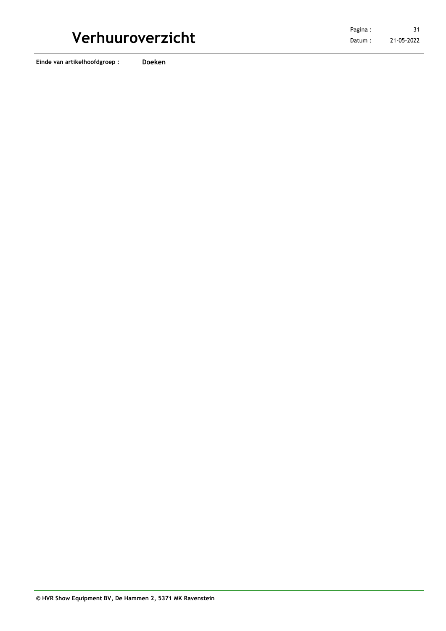**Einde van artikelhoofdgroep : Doeken**

**© HVR Show Equipment BV, De Hammen 2, 5371 MK Ravenstein**

21-05-2022 31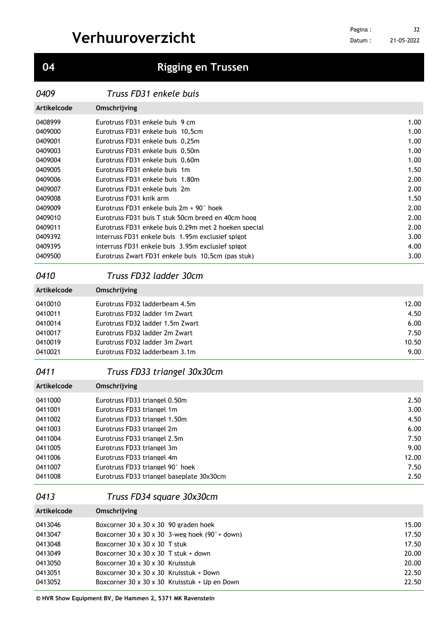## **Rigging en Trussen**

*Truss FD31 enkele buis*

| Artikelcode | Omschrijving                                          |                   |
|-------------|-------------------------------------------------------|-------------------|
| 0408999     | Eurotruss FD31 enkele buis 9 cm                       | 1.00              |
| 0409000     | Eurotruss FD31 enkele buis 10.5cm                     | 1.00              |
| 0409001     | Eurotruss FD31 enkele buis 0.25m                      | 1.00              |
| 0409003     | Eurotruss FD31 enkele buis 0.50m                      | 1.00              |
| 0409004     | Eurotruss FD31 enkele buis 0.60m                      | 1.00              |
| 0409005     | Eurotruss FD31 enkele buis 1m                         | 1.50              |
| 0409006     | Eurotruss FD31 enkele buis 1.80m                      | 2.00              |
| 0409007     | Eurotruss FD31 enkele buis 2m                         | 2.00              |
| 0409008     | Eurotruss FD31 knik arm                               | 1.50              |
| 0409009     | Eurotruss FD31 enkele buis $2m + 90^\circ$ hoek       | 2.00              |
| 0409010     | Eurotruss FD31 buis T stuk 50cm breed en 40cm hoog    | 2.00              |
| 0409011     | Eurotruss FD31 enkele buis 0.29m met 2 hoeken special | 2.00              |
| 0409392     | interruss FD31 enkele buis 1.95m exclusief spigot     | 3.00              |
| 0409395     | interruss FD31 enkele buis 3.95m exclusief spigot     | 4.00              |
| 0409500     | Eurotruss Zwart FD31 enkele buis 10,5cm (pas stuk)    | 3.00 <sub>1</sub> |

### *Truss FD32 ladder 30cm*

| Artikelcode | Omschrijving                     |       |
|-------------|----------------------------------|-------|
| 0410010     | Eurotruss FD32 ladderbeam 4.5m   | 12.00 |
| 0410011     | Eurotruss FD32 ladder 1m Zwart   |       |
| 0410014     | Eurotruss FD32 ladder 1.5m Zwart | 6.00  |
| 0410017     | Eurotruss FD32 ladder 2m Zwart   | 7.50  |
| 0410019     | Eurotruss FD32 ladder 3m Zwart   | 10.50 |
| 0410021     | Eurotruss FD32 ladderbeam 3.1m   | 9.00  |

### *Truss FD33 triangel 30x30cm*

| Artikelcode | Omschrijving                              |       |
|-------------|-------------------------------------------|-------|
| 0411000     | Eurotruss FD33 triangel 0.50m             | 2.50  |
| 0411001     | Eurotruss FD33 triangel 1m                | 3.00  |
| 0411002     | Eurotruss FD33 triangel 1.50m             | 4.50  |
| 0411003     | Eurotruss FD33 triangel 2m                | 6.00  |
| 0411004     | Eurotruss FD33 triangel 2.5m              | 7.50  |
| 0411005     | Eurotruss FD33 triangel 3m                | 9.00  |
| 0411006     | Eurotruss FD33 triangel 4m                | 12.00 |
| 0411007     | Eurotruss FD33 triangel 90° hoek          | 7.50  |
| 0411008     | Eurotruss FD33 triangel baseplate 30x30cm | 2.50  |
|             |                                           |       |

### *Truss FD34 square 30x30cm*

| Artikelcode | Omschrijving                                               |       |
|-------------|------------------------------------------------------------|-------|
| 0413046     | Boxcorner $30 \times 30 \times 30$ 90 graden hoek          | 15.00 |
| 0413047     | Boxcorner $30 \times 30 \times 30$ 3-weg hoek (90° + down) | 17.50 |
| 0413048     | Boxcorner $30 \times 30 \times 30$ T stuk                  | 17.50 |
| 0413049     | Boxcorner $30 \times 30 \times 30$ T stuk + down           | 20.00 |
| 0413050     | Boxcorner 30 x 30 x 30 Kruisstuk                           | 20.00 |
| 0413051     | Boxcorner $30 \times 30 \times 30$ Kruisstuk + Down        | 22.50 |
| 0413052     | Boxcorner 30 x 30 x 30 Kruisstuk + Up en Down              | 22.50 |
|             |                                                            |       |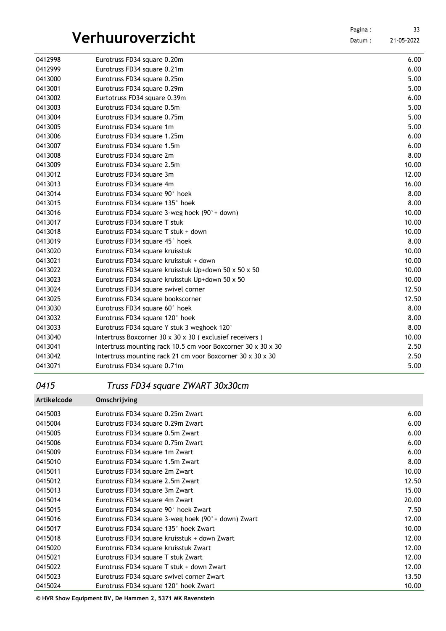| 0412998 | Eurotruss FD34 square 0.20m                                  | 6.00  |
|---------|--------------------------------------------------------------|-------|
| 0412999 | Eurotruss FD34 square 0.21m                                  | 6.00  |
| 0413000 | Eurotruss FD34 square 0.25m                                  | 5.00  |
| 0413001 | Eurotruss FD34 square 0.29m                                  | 5.00  |
| 0413002 | Eurtotruss FD34 square 0.39m                                 | 6.00  |
| 0413003 | Eurotruss FD34 square 0.5m                                   | 5.00  |
| 0413004 | Eurotruss FD34 square 0.75m                                  | 5.00  |
| 0413005 | Eurotruss FD34 square 1m                                     | 5.00  |
| 0413006 | Eurotruss FD34 square 1.25m                                  | 6.00  |
| 0413007 | Eurotruss FD34 square 1.5m                                   | 6.00  |
| 0413008 | Eurotruss FD34 square 2m                                     | 8.00  |
| 0413009 | Eurotruss FD34 square 2.5m                                   | 10.00 |
| 0413012 | Eurotruss FD34 square 3m                                     | 12.00 |
| 0413013 | Eurotruss FD34 square 4m                                     | 16.00 |
| 0413014 | Eurotruss FD34 square 90° hoek                               | 8.00  |
| 0413015 | Eurotruss FD34 square 135° hoek                              | 8.00  |
| 0413016 | Eurotruss FD34 square 3-weg hoek $(90° +$ down)              | 10.00 |
| 0413017 | Eurotruss FD34 square T stuk                                 | 10.00 |
| 0413018 | Eurotruss FD34 square T stuk + down                          | 10.00 |
| 0413019 | Eurotruss FD34 square 45° hoek                               | 8.00  |
| 0413020 | Eurotruss FD34 square kruisstuk                              | 10.00 |
| 0413021 | Eurotruss FD34 square kruisstuk + down                       | 10.00 |
| 0413022 | Eurotruss FD34 square kruisstuk Up+down 50 x 50 x 50         | 10.00 |
| 0413023 | Eurotruss FD34 square kruisstuk Up+down 50 x 50              | 10.00 |
| 0413024 | Eurotruss FD34 square swivel corner                          | 12.50 |
| 0413025 | Eurotruss FD34 square bookscorner                            | 12.50 |
| 0413030 | Eurotruss FD34 square 60° hoek                               | 8.00  |
| 0413032 | Eurotruss FD34 square 120° hoek                              | 8.00  |
| 0413033 | Eurotruss FD34 square Y stuk 3 weghoek 120°                  | 8.00  |
| 0413040 | Intertruss Boxcorner 30 x 30 x 30 (exclusief receivers)      | 10.00 |
| 0413041 | Intertruss mounting rack 10.5 cm voor Boxcorner 30 x 30 x 30 | 2.50  |
| 0413042 | Intertruss mounting rack 21 cm voor Boxcorner 30 x 30 x 30   | 2.50  |
| 0413071 | Eurotruss FD34 square 0.71m                                  | 5.00  |

### *Truss FD34 square ZWART 30x30cm*

| Artikelcode | Omschrijving                                       |       |
|-------------|----------------------------------------------------|-------|
| 0415003     | Eurotruss FD34 square 0.25m Zwart                  | 6.00  |
| 0415004     | Eurotruss FD34 square 0.29m Zwart                  | 6.00  |
| 0415005     | Eurotruss FD34 square 0.5m Zwart                   | 6.00  |
| 0415006     | Eurotruss FD34 square 0.75m Zwart                  | 6.00  |
| 0415009     | Eurotruss FD34 square 1m Zwart                     | 6.00  |
| 0415010     | Eurotruss FD34 square 1.5m Zwart                   | 8.00  |
| 0415011     | Eurotruss FD34 square 2m Zwart                     | 10.00 |
| 0415012     | Eurotruss FD34 square 2.5m Zwart                   | 12.50 |
| 0415013     | Eurotruss FD34 square 3m Zwart                     | 15.00 |
| 0415014     | Eurotruss FD34 square 4m Zwart                     | 20.00 |
| 0415015     | Eurotruss FD34 square 90° hoek Zwart               | 7.50  |
| 0415016     | Eurotruss FD34 square 3-weg hoek (90°+ down) Zwart | 12.00 |
| 0415017     | Eurotruss FD34 square 135° hoek Zwart              | 10.00 |
| 0415018     | Eurotruss FD34 square kruisstuk + down Zwart       | 12.00 |
| 0415020     | Eurotruss FD34 square kruisstuk Zwart              | 12.00 |
| 0415021     | Eurotruss FD34 square T stuk Zwart                 | 12.00 |
| 0415022     | Eurotruss FD34 square T stuk + down Zwart          | 12.00 |
| 0415023     | Eurotruss FD34 square swivel corner Zwart          | 13.50 |
| 0415024     | Eurotruss FD34 square 120° hoek Zwart              | 10.00 |
|             |                                                    |       |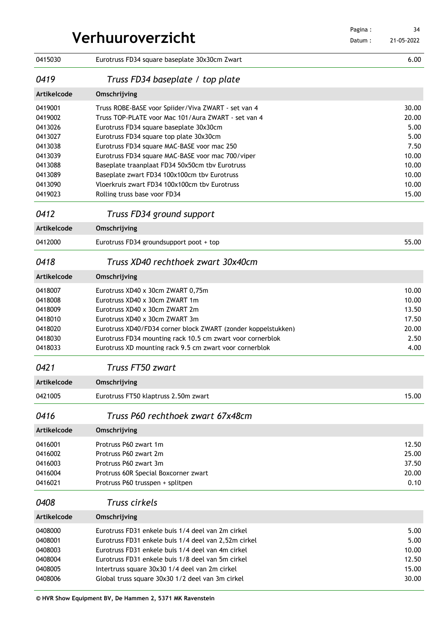| Verhuuroverzicht |                                                               |  | 34<br>21-05-2022 |
|------------------|---------------------------------------------------------------|--|------------------|
| 0415030          | Eurotruss FD34 square baseplate 30x30cm Zwart                 |  | 6.00             |
| 0419             | Truss FD34 baseplate / top plate                              |  |                  |
| Artikelcode      | Omschrijving                                                  |  |                  |
| 0419001          | Truss ROBE-BASE voor Spiider/Viva ZWART - set van 4           |  | 30.00            |
| 0419002          | Truss TOP-PLATE voor Mac 101/Aura ZWART - set van 4           |  | 20.00            |
| 0413026          | Eurotruss FD34 square baseplate 30x30cm                       |  | 5.00             |
| 0413027          | Eurotruss FD34 square top plate 30x30cm                       |  | 5.00             |
| 0413038          | Eurotruss FD34 square MAC-BASE voor mac 250                   |  | 7.50             |
| 0413039          | Eurotruss FD34 square MAC-BASE voor mac 700/viper             |  | 10.00            |
| 0413088          | Baseplate traanplaat FD34 50x50cm tby Eurotruss               |  | 10.00            |
| 0413089          | Baseplate zwart FD34 100x100cm tby Eurotruss                  |  | 10.00            |
| 0413090          | Vloerkruis zwart FD34 100x100cm tby Eurotruss                 |  | 10.00            |
| 0419023          | Rolling truss base voor FD34                                  |  | 15.00            |
| 0412             | Truss FD34 ground support                                     |  |                  |
| Artikelcode      | Omschrijving                                                  |  |                  |
| 0412000          | Eurotruss FD34 groundsupport poot + top                       |  | 55.00            |
| 0418             | Truss XD40 rechthoek zwart 30x40cm                            |  |                  |
| Artikelcode      | Omschrijving                                                  |  |                  |
| 0418007          | Eurotruss XD40 x 30cm ZWART 0.75m                             |  | 10.00            |
| 0418008          | Eurotruss XD40 x 30cm ZWART 1m                                |  | 10.00            |
| 0418009          | Eurotruss XD40 x 30cm ZWART 2m                                |  | 13.50            |
| 0418010          | Eurotruss XD40 x 30cm ZWART 3m                                |  | 17.50            |
| 0418020          | Eurotruss XD40/FD34 corner block ZWART (zonder koppelstukken) |  | 20.00            |
| 0418030          | Eurotruss FD34 mounting rack 10.5 cm zwart voor cornerblok    |  | 2.50             |
| 0418033          | Eurotruss XD mounting rack 9.5 cm zwart voor cornerblok       |  | 4.00             |
| 0421             | Truss FT50 zwart                                              |  |                  |
| Artikelcode      | Omschrijving                                                  |  |                  |
| 0421005          | Eurotruss FT50 klaptruss 2.50m zwart                          |  | 15.00            |
| 0416             | Truss P60 rechthoek zwart 67x48cm                             |  |                  |
| Artikelcode      | Omschrijving                                                  |  |                  |
| 0416001          | Protruss P60 zwart 1m                                         |  | 12.50            |
| 0416002          | Protruss P60 zwart 2m                                         |  | 25.00            |
| 0416003          | Protruss P60 zwart 3m                                         |  | 37.50            |
| 0416004          | Protruss 60R Special Boxcorner zwart                          |  | 20.00            |
| 0416021          | Protruss P60 trusspen + splitpen                              |  | 0.10             |
| 0408             | Truss cirkels                                                 |  |                  |
| Artikelcode      | Omschrijving                                                  |  |                  |
| 0408000          | Eurotruss FD31 enkele buis 1/4 deel van 2m cirkel             |  | 5.00             |
| 0408001          | Eurotruss FD31 enkele buis 1/4 deel van 2,52m cirkel          |  | 5.00             |
| 0408003          | Eurotruss FD31 enkele buis 1/4 deel van 4m cirkel             |  | 10.00            |
| 0408004          | Eurotruss FD31 enkele buis 1/8 deel van 5m cirkel             |  | 12.50            |
| 0408005          | Intertruss square 30x30 1/4 deel van 2m cirkel                |  | 15.00            |
| 0408006          | Global truss square 30x30 1/2 deel van 3m cirkel              |  | 30.00            |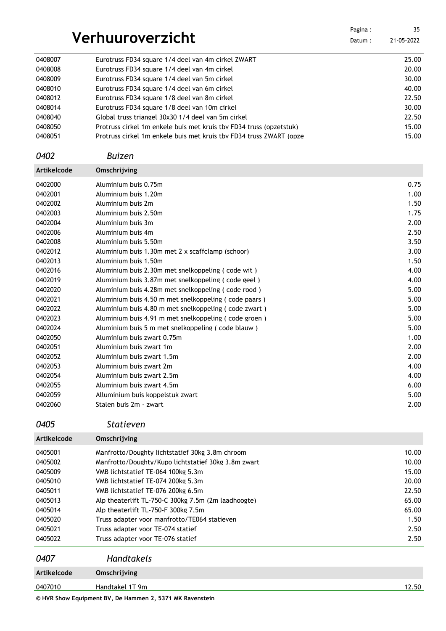| Verhuuroverzicht   |                                                                     | Pagina:<br>Datum: | 35<br>21-05-2022 |
|--------------------|---------------------------------------------------------------------|-------------------|------------------|
|                    |                                                                     |                   |                  |
| 0408007            | Eurotruss FD34 square 1/4 deel van 4m cirkel ZWART                  |                   | 25.00            |
| 0408008            | Eurotruss FD34 square 1/4 deel van 4m cirkel                        |                   | 20.00            |
| 0408009            | Eurotruss FD34 square 1/4 deel van 5m cirkel                        |                   | 30.00            |
| 0408010            | Eurotruss FD34 square 1/4 deel van 6m cirkel                        |                   | 40.00            |
| 0408012            | Eurotruss FD34 square 1/8 deel van 8m cirkel                        |                   | 22.50            |
| 0408014            | Eurotruss FD34 square 1/8 deel van 10m cirkel                       |                   | 30.00            |
| 0408040            | Global truss triangel 30x30 1/4 deel van 5m cirkel                  |                   | 22.50            |
| 0408050            | Protruss cirkel 1m enkele buis met kruis tby FD34 truss (opzetstuk) |                   | 15.00            |
| 0408051            | Protruss cirkel 1m enkele buis met kruis tby FD34 truss ZWART (opze |                   | 15.00            |
| 0402               | <b>Buizen</b>                                                       |                   |                  |
| <b>Artikelcode</b> | Omschrijving                                                        |                   |                  |
| 0402000            | Aluminium buis 0.75m                                                |                   | 0.75             |
| 0402001            | Aluminium buis 1.20m                                                |                   | 1.00             |
| 0402002            | Aluminium buis 2m                                                   |                   | 1.50             |
| 0402003            | Aluminium buis 2.50m                                                |                   | 1.75             |
| 0402004            | Aluminium buis 3m                                                   |                   | 2.00             |
| 0402006            | Aluminium buis 4m                                                   |                   | 2.50             |
| 0402008            | Aluminium buis 5.50m                                                |                   | 3.50             |
| 0402012            | Aluminium buis 1.30m met 2 x scaffclamp (schoor)                    |                   | 3.00             |
| 0402013            | Aluminium buis 1.50m                                                |                   | 1.50             |
| 0402016            | Aluminium buis 2.30m met snelkoppeling (code wit)                   |                   | 4.00             |
| 0402019            | Aluminium buis 3.87m met snelkoppeling (code geel)                  |                   | 4.00             |
| 0402020            | Aluminium buis 4.28m met snelkoppeling (code rood)                  |                   | 5.00             |
| 0402021            | Aluminium buis 4.50 m met snelkoppeling (code paars)                |                   | 5.00             |
| 0402022            | Aluminium buis 4.80 m met snelkoppeling (code zwart)                |                   | 5.00             |
| 0402023            | Aluminium buis 4.91 m met snelkoppeling (code groen)                |                   | 5.00             |
| 0402024            | Aluminium buis 5 m met snelkoppeling (code blauw)                   |                   | 5.00             |
| 0402050            | Aluminium buis zwart 0.75m                                          |                   | 1.00             |
| 0402051            | Aluminium buis zwart 1m                                             |                   | 2.00             |
| 0402052            | Aluminium buis zwart 1.5m                                           | 2.00              |                  |
| 0402053            | Aluminium buis zwart 2m                                             | 4.00              |                  |
| 0402054            | Aluminium buis zwart 2.5m                                           | 4.00              |                  |
| 0402055            | Aluminium buis zwart 4.5m                                           |                   | 6.00             |
| 0402059            | Alluminium buis koppelstuk zwart                                    |                   | 5.00             |
| 0402060            | Stalen buis 2m - zwart                                              |                   | 2.00             |
| 0405               | <b>Statieven</b>                                                    |                   |                  |
| Artikelcode        | Omschrijving                                                        |                   |                  |
| 0405001            | Manfrotto/Doughty lichtstatief 30kg 3.8m chroom                     |                   | 10.00            |

| 0405001 | Manfrotto/Doughty lichtstatief 30kg 3.8m chroom     |       |  |  |
|---------|-----------------------------------------------------|-------|--|--|
| 0405002 | Manfrotto/Doughty/Kupo lichtstatief 30kg 3.8m zwart | 10.00 |  |  |
| 0405009 | VMB lichtstatief TE-064 100kg 5.3m                  | 15.00 |  |  |
| 0405010 | VMB lichtstatief TE-074 200kg 5.3m                  | 20.00 |  |  |
| 0405011 | VMB lichtstatief TE-076 200kg 6.5m                  |       |  |  |
| 0405013 | Alp theaterlift TL-750-C 300kg 7.5m (2m laadhoogte) |       |  |  |
| 0405014 | Alp theaterlift TL-750-F 300kg 7.5m                 |       |  |  |
| 0405020 | Truss adapter voor manfrotto/TE064 statieven        | 1.50  |  |  |
| 0405021 | Truss adapter voor TE-074 statief                   | 2.50  |  |  |
| 0405022 | Truss adapter voor TE-076 statief                   | 2.50  |  |  |
|         |                                                     |       |  |  |

| 0407        | <b>Handtakels</b> |       |
|-------------|-------------------|-------|
| Artikelcode | Omschrijving      |       |
| 0407010     | Handtakel 1T 9m   | 12.50 |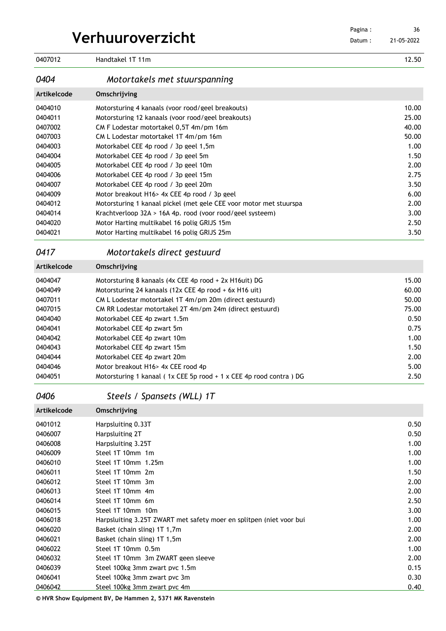|                  | Pagina: |
|------------------|---------|
| Verhuuroverzicht | Datum:  |

| 0407012     | Handtakel 1T 11m                                                   | 12.50         |
|-------------|--------------------------------------------------------------------|---------------|
| 0404        | Motortakels met stuurspanning                                      |               |
| Artikelcode | Omschrijving                                                       |               |
| 0404010     | Motorsturing 4 kanaals (voor rood/geel breakouts)                  | 10.00         |
| 0404011     | Motorsturing 12 kanaals (voor rood/geel breakouts)                 | 25.00         |
| 0407002     | CM F Lodestar motortakel 0,5T 4m/pm 16m                            | 40.00         |
| 0407003     | CM L Lodestar motortakel 1T 4m/pm 16m                              | 50.00         |
| 0404003     | Motorkabel CEE 4p rood / 3p geel 1,5m                              | 1.00          |
| 0404004     | Motorkabel CEE 4p rood / 3p geel 5m                                | 1.50          |
| 0404005     | Motorkabel CEE 4p rood / 3p geel 10m                               | 2.00          |
| 0404006     | Motorkabel CEE 4p rood / 3p geel 15m                               | 2.75          |
| 0404007     | Motorkabel CEE 4p rood / 3p geel 20m                               | 3.50          |
| 0404009     | Motor breakout H16> 4x CEE 4p rood / 3p geel                       | 6.00          |
| 0404012     | Motorsturing 1 kanaal pickel (met gele CEE voor motor met stuurspa | 2.00          |
| 0404014     | Krachtverloop 32A > 16A 4p. rood (voor rood/geel systeem)          | 3.00          |
| 0404020     | Motor Harting multikabel 16 polig GRIJS 15m                        | 2.50          |
| 0404021     | Motor Harting multikabel 16 polig GRIJS 25m                        | 3.50          |
| 0417        | Motortakels direct gestuurd                                        |               |
| Artikelcode | Omschrijving                                                       |               |
| 0404047     | Motorsturing 8 kanaals (4x CEE 4p rood + 2x H16uit) DG             | 15.00         |
| 0404049     | Motorsturing 24 kanaals (12x CEE 4p rood + 6x H16 uit)             | 60.00         |
| 0407011     | CM L Lodestar motortakel 1T 4m/pm 20m (direct gestuurd)            | 50.00         |
| 0407015     | CM RR Lodestar motortakel 2T 4m/pm 24m (direct gestuurd)           | 75.00         |
| 0404040     | Motorkabel CEE 4p zwart 1.5m                                       | 0.50          |
| 0404041     | Motorkabel CEE 4p zwart 5m                                         | 0.75          |
|             |                                                                    | $\sim$ $\sim$ |

| 0404041 | Motorkabel CEE 4p zwart 5m                                              | 0.75 |
|---------|-------------------------------------------------------------------------|------|
| 0404042 | Motorkabel CEE 4p zwart 10m                                             | 1.00 |
| 0404043 | Motorkabel CEE 4p zwart 15m                                             | 1.50 |
| 0404044 | Motorkabel CEE 4p zwart 20m                                             | 2.00 |
| 0404046 | Motor breakout H16> 4x CEE rood 4p                                      | 5.00 |
| 0404051 | Motorsturing 1 kanaal ( $1x$ CEE 5p rood + $1x$ CEE 4p rood contra ) DG | 2.50 |
|         |                                                                         |      |

## *Steels / Spansets (WLL) 1T*

| Artikelcode | Omschrijving                                                        |      |
|-------------|---------------------------------------------------------------------|------|
| 0401012     | Harpsluiting 0.33T                                                  | 0.50 |
| 0406007     | Harpsluiting 2T                                                     | 0.50 |
| 0406008     | Harpsluiting 3.25T                                                  | 1.00 |
| 0406009     | Steel 1T 10mm 1m                                                    | 1.00 |
| 0406010     | Steel 1T 10mm 1.25m                                                 | 1.00 |
| 0406011     | Steel 1T 10mm 2m                                                    | 1.50 |
| 0406012     | Steel 1T 10mm 3m                                                    | 2.00 |
| 0406013     | Steel 1T 10mm 4m                                                    | 2.00 |
| 0406014     | Steel 1T 10mm 6m                                                    | 2.50 |
| 0406015     | Steel 1T 10mm 10m                                                   | 3.00 |
| 0406018     | Harpsluiting 3.25T ZWART met safety moer en splitpen (niet voor bui | 1.00 |
| 0406020     | Basket (chain sling) 1T 1,7m                                        | 2.00 |
| 0406021     | Basket (chain sling) 1T 1,5m                                        | 2.00 |
| 0406022     | Steel 1T 10mm 0.5m                                                  | 1.00 |
| 0406032     | Steel 1T 10mm 3m ZWART geen sleeve                                  | 2.00 |
| 0406039     | Steel 100kg 3mm zwart pvc 1.5m                                      | 0.15 |
| 0406041     | Steel 100kg 3mm zwart pvc 3m                                        | 0.30 |
| 0406042     | Steel 100kg 3mm zwart pvc 4m                                        | 0.40 |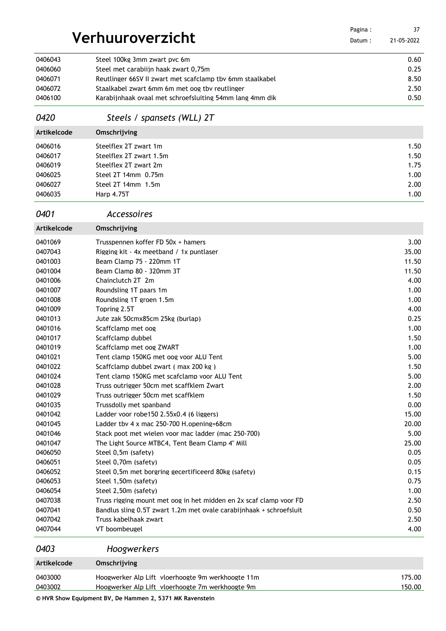|                    |                                                                     | Pagina: | 37           |
|--------------------|---------------------------------------------------------------------|---------|--------------|
|                    | Verhuuroverzicht                                                    | Datum:  | 21-05-2022   |
| 0406043            | Steel 100kg 3mm zwart pvc 6m                                        |         | 0.60         |
| 0406060            | Steel met carabiijn haak zwart 0,75m                                |         | 0.25         |
| 0406071            | Reutlinger 66SV II zwart met scafclamp tby 6mm staalkabel           |         | 8.50         |
| 0406072            | Staalkabel zwart 6mm 6m met oog tby reutlinger                      |         | 2.50         |
| 0406100            | Karabijnhaak ovaal met schroefsluiting 54mm lang 4mm dik            |         | 0.50         |
|                    |                                                                     |         |              |
| 0420               | Steels / spansets (WLL) 2T                                          |         |              |
| Artikelcode        | Omschrijving                                                        |         |              |
| 0406016            | Steelflex 2T zwart 1m                                               |         | 1.50         |
| 0406017            | Steelflex 2T zwart 1.5m                                             |         | 1.50         |
| 0406019            | Steelflex 2T zwart 2m                                               |         | 1.75         |
| 0406025            | Steel 2T 14mm 0.75m                                                 |         | 1.00         |
| 0406027            | Steel 2T 14mm 1.5m                                                  |         | 2.00         |
| 0406035            | <b>Harp 4.75T</b>                                                   |         | 1.00         |
| 0401               | <b>Accessoires</b>                                                  |         |              |
| Artikelcode        | Omschrijving                                                        |         |              |
| 0401069            | Trusspennen koffer FD 50x + hamers                                  |         | 3.00         |
| 0407043            | Rigging kit - 4x meetband / 1x puntlaser                            |         | 35.00        |
| 0401003            | Beam Clamp 75 - 220mm 1T                                            |         | 11.50        |
| 0401004            | Beam Clamp 80 - 320mm 3T                                            |         | 11.50        |
| 0401006            | Chainclutch 2T 2m                                                   |         | 4.00         |
| 0401007            | Roundsling 1T paars 1m                                              |         | 1.00         |
| 0401008            | Roundsling 1T groen 1.5m                                            |         | 1.00         |
| 0401009            | Topring 2.5T                                                        |         | 4.00         |
| 0401013            | Jute zak 50cmx85cm 25kg (burlap)                                    |         | 0.25         |
| 0401016            | Scaffclamp met oog                                                  |         | 1.00         |
| 0401017            | Scaffclamp dubbel                                                   |         | 1.50         |
| 0401019            | Scaffclamp met oog ZWART                                            |         | 1.00         |
| 0401021            | Tent clamp 150KG met oog voor ALU Tent                              |         | 5.00         |
| 0401022            | Scaffclamp dubbel zwart (max 200 kg)                                |         | 1.50         |
| 0401024            | Tent clamp 150KG met scafclamp voor ALU Tent                        |         | 5.00         |
| 0401028            | Truss outrigger 50cm met scaffklem Zwart                            |         | 2.00         |
| 0401029            | Truss outrigger 50cm met scaffklem                                  |         | 1.50         |
| 0401035            | Trussdolly met spanband                                             |         | 0.00         |
| 0401042            | Ladder voor robe150 2.55x0.4 (6 liggers)                            |         | 15.00        |
| 0401045            | Ladder tbv 4 x mac 250-700 H.opening=68cm                           |         | 20.00        |
| 0401046            | Stack poot met wielen voor mac ladder (mac 250-700)                 |         | 5.00         |
| 0401047            | The Light Source MTBC4, Tent Beam Clamp 4" Mill                     |         | 25.00        |
| 0406050<br>0406051 | Steel 0,5m (safety)<br>Steel 0,70m (safety)                         |         | 0.05<br>0.05 |
| 0406052            | Steel 0.5m met borgring gecertificeerd 80kg (safety)                |         | 0.15         |
| 0406053            | Steel 1,50m (safety)                                                |         | 0.75         |
| 0406054            | Steel 2,50m (safety)                                                |         | 1.00         |
| 0407038            | Truss rigging mount met oog in het midden en 2x scaf clamp voor FD  |         | 2.50         |
| 0407041            | Bandlus sling 0.5T zwart 1.2m met ovale carabijnhaak + schroefsluit |         | 0.50         |
| 0407042            | Truss kabelhaak zwart                                               |         | 2.50         |
| 0407044            | VT boombeugel                                                       |         | 4.00         |
| 0403               | Hoogwerkers                                                         |         |              |
| Artikelcode        | Omschrijving                                                        |         |              |
| 0403000            | Hoogwerker Alp Lift vloerhoogte 9m werkhoogte 11m                   |         | 175.00       |

Hoogwerker Alp Lift vloerhoogte 7m werkhoogte 9m 150.00

**© HVR Show Equipment BV, De Hammen 2, 5371 MK Ravenstein**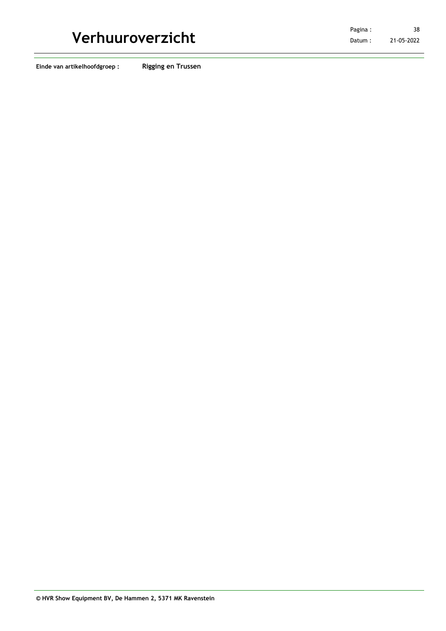**Einde van artikelhoofdgroep : Rigging en Trussen**

**Verhuuroverzicht** Pagina : 21-05-2022 38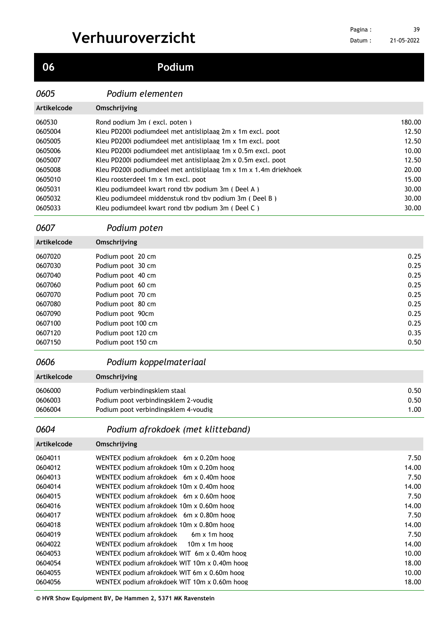**Podium**

### *Podium elementen*

| Artikelcode | Omschrijving                                                     |        |
|-------------|------------------------------------------------------------------|--------|
| 060530      | Rond podium 3m (excl. poten)                                     | 180.00 |
| 0605004     | Kleu PD200i podiumdeel met antisliplaag 2m x 1m excl. poot       | 12.50  |
| 0605005     | Kleu PD200i podiumdeel met antisliplaag 1m x 1m excl. poot       | 12.50  |
| 0605006     | Kleu PD200i podiumdeel met antisliplaag 1m x 0.5m excl. poot     | 10.00  |
| 0605007     | Kleu PD200i podiumdeel met antisliplaag 2m x 0.5m excl. poot     | 12.50  |
| 0605008     | Kleu PD200i podiumdeel met antisliplaag 1m x 1m x 1.4m driekhoek | 20.00  |
| 0605010     | Kleu roosterdeel 1m x 1m excl. poot                              | 15.00  |
| 0605031     | Kleu podiumdeel kwart rond tby podium 3m (Deel A)                | 30.00  |
| 0605032     | Kleu podiumdeel middenstuk rond tbv podium 3m (Deel B)           | 30.00  |
| 0605033     | Kleu podiumdeel kwart rond tby podium 3m (Deel C)                | 30.00  |

### *Podium poten*

| <b>Artikelcode</b> | Omschrijving       |      |
|--------------------|--------------------|------|
| 0607020            | Podium poot 20 cm  | 0.25 |
| 0607030            | Podium poot 30 cm  | 0.25 |
| 0607040            | Podium poot 40 cm  | 0.25 |
| 0607060            | Podium poot 60 cm  | 0.25 |
| 0607070            | Podium poot 70 cm  | 0.25 |
| 0607080            | Podium poot 80 cm  | 0.25 |
| 0607090            | Podium poot 90cm   | 0.25 |
| 0607100            | Podium poot 100 cm | 0.25 |
| 0607120            | Podium poot 120 cm | 0.35 |
| 0607150            | Podium poot 150 cm | 0.50 |

### *Podium koppelmateriaal*

| Artikelcode | Omschrijving                         |      |
|-------------|--------------------------------------|------|
| 0606000     | Podium verbindingsklem staal         | 0.50 |
| 0606003     | Podium poot verbindingsklem 2-voudig | 0.50 |
| 0606004     | Podium poot verbindingsklem 4-voudig | 1.00 |

### *Podium afrokdoek (met klitteband)*

| Artikelcode | Omschrijving                                 |       |
|-------------|----------------------------------------------|-------|
| 0604011     | WENTEX podium afrokdoek 6m x 0.20m hoog      | 7.50  |
| 0604012     | WENTEX podium afrokdoek 10m x 0.20m hoog     | 14.00 |
| 0604013     | WENTEX podium afrokdoek 6m x 0.40m hoog      | 7.50  |
| 0604014     | WENTEX podium afrokdoek 10m x 0.40m hoog     | 14.00 |
| 0604015     | WENTEX podium afrokdoek 6m x 0.60m hoog      | 7.50  |
| 0604016     | WENTEX podium afrokdoek 10m x 0.60m hoog     | 14.00 |
| 0604017     | WENTEX podium afrokdoek 6m x 0.80m hoog      | 7.50  |
| 0604018     | WENTEX podium afrokdoek 10m x 0.80m hoog     | 14.00 |
| 0604019     | WENTEX podium afrokdoek<br>6m x 1m hoog      | 7.50  |
| 0604022     | WENTEX podium afrokdoek 10m x 1m hoog        | 14.00 |
| 0604053     | WENTEX podium afrokdoek WIT 6m x 0.40m hoog  | 10.00 |
| 0604054     | WENTEX podium afrokdoek WIT 10m x 0.40m hoog | 18.00 |
| 0604055     | WENTEX podium afrokdoek WIT 6m x 0.60m hoog  | 10.00 |
| 0604056     | WENTEX podium afrokdoek WIT 10m x 0.60m hoog | 18.00 |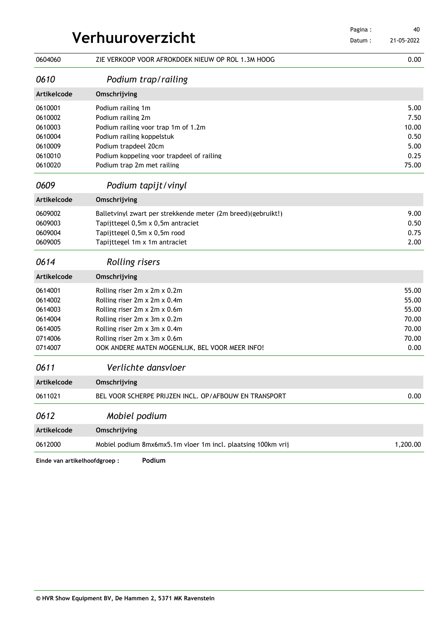|             | Verhuuroverzicht                                             |        |            |
|-------------|--------------------------------------------------------------|--------|------------|
|             |                                                              | Datum: | 21-05-2022 |
| 0604060     | ZIE VERKOOP VOOR AFROKDOEK NIEUW OP ROL 1.3M HOOG            |        | 0.00       |
| 0610        | Podium trap/railing                                          |        |            |
| Artikelcode | Omschrijving                                                 |        |            |
| 0610001     | Podium railing 1m                                            |        | 5.00       |
| 0610002     | Podium railing 2m                                            |        | 7.50       |
| 0610003     | Podium railing voor trap 1m of 1.2m                          |        | 10.00      |
| 0610004     | Podium railing koppelstuk                                    |        | 0.50       |
| 0610009     | Podium trapdeel 20cm                                         |        | 5.00       |
| 0610010     | Podium koppeling voor trapdeel of railing                    |        | 0.25       |
| 0610020     | Podium trap 2m met railing                                   |        | 75.00      |
| 0609        | Podium tapijt/vinyl                                          |        |            |
| Artikelcode | Omschrijving                                                 |        |            |
| 0609002     | Balletvinyl zwart per strekkende meter (2m breed)(gebruikt!) |        | 9.00       |
| 0609003     | Tapijttegel 0,5m x 0,5m antraciet                            |        | 0.50       |
| 0609004     | Tapijttegel 0,5m x 0,5m rood                                 |        | 0.75       |
| 0609005     | Tapijttegel 1m x 1m antraciet                                |        | 2.00       |
| 0614        | <b>Rolling risers</b>                                        |        |            |
| Artikelcode | Omschrijving                                                 |        |            |
| 0614001     | Rolling riser 2m x 2m x 0.2m                                 |        | 55.00      |
| 0614002     | Rolling riser 2m x 2m x 0.4m                                 |        | 55.00      |
| 0614003     | Rolling riser 2m x 2m x 0.6m                                 |        | 55.00      |
| 0614004     | Rolling riser 2m x 3m x 0.2m                                 |        | 70.00      |
| 0614005     | Rolling riser 2m x 3m x 0.4m                                 |        | 70.00      |
| 0714006     | Rolling riser 2m x 3m x 0.6m                                 |        | 70.00      |
| 0714007     | OOK ANDERE MATEN MOGENLIJK, BEL VOOR MEER INFO!              |        | 0.00       |
| 0611        | Verlichte dansvloer                                          |        |            |
| Artikelcode | Omschrijving                                                 |        |            |
| 0611021     | BEL VOOR SCHERPE PRIJZEN INCL. OP/AFBOUW EN TRANSPORT        |        | 0.00       |
| 0612        | Mobiel podium                                                |        |            |
| Artikelcode | Omschrijving                                                 |        |            |
|             |                                                              |        | 1,200.00   |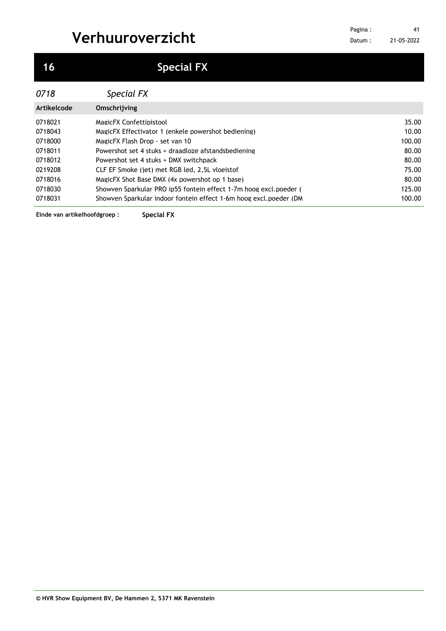| 0718        | Special FX                                                        |        |
|-------------|-------------------------------------------------------------------|--------|
| Artikelcode | Omschrijving                                                      |        |
| 0718021     | MagicFX Confettipistool                                           | 35.00  |
| 0718043     | MagicFX Effectivator 1 (enkele powershot bediening)               | 10.00  |
| 0718000     | MagicFX Flash Drop - set van 10                                   | 100.00 |
| 0718011     | Powershot set 4 stuks + draadloze afstandsbediening               | 80.00  |
| 0718012     | Powershot set 4 stuks + DMX switchpack                            | 80.00  |
| 0219208     | CLF EF Smoke (jet) met RGB led, 2.5L vloejstof                    | 75.00  |
| 0718016     | MagicFX Shot Base DMX (4x powershot op 1 base)                    | 80.00  |
| 0718030     | Showyen Sparkular PRO ip55 fontein effect 1-7m hoog excl.poeder ( | 125.00 |
| 0718031     | Showyen Sparkular indoor fontein effect 1-6m hoog excl.poeder (DM | 100.00 |

**Einde van artikelhoofdgroep : Special FX**

## **Special FX**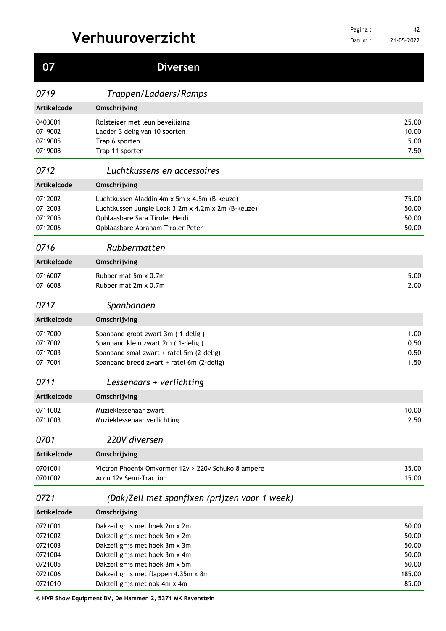| 07                                                             | <b>Diversen</b>                                                                                                                                                                                                |                                                     |
|----------------------------------------------------------------|----------------------------------------------------------------------------------------------------------------------------------------------------------------------------------------------------------------|-----------------------------------------------------|
| 0719                                                           | Trappen/Ladders/Ramps                                                                                                                                                                                          |                                                     |
| Artikelcode                                                    | Omschrijving                                                                                                                                                                                                   |                                                     |
| 0403001<br>0719002<br>0719005<br>0719008                       | Rolsteiger met leun beveiliging<br>Ladder 3 delig van 10 sporten<br>Trap 6 sporten<br>Trap 11 sporten                                                                                                          | 25.00<br>10.00<br>5.00<br>7.50                      |
| 0712                                                           | Luchtkussens en accessoires                                                                                                                                                                                    |                                                     |
| Artikelcode                                                    | Omschrijving                                                                                                                                                                                                   |                                                     |
| 0712002<br>0712003<br>0712005<br>0712006                       | Luchtkussen Aladdin 4m x 5m x 4.5m (B-keuze)<br>Luchtkussen Jungle Look 3.2m x 4.2m x 2m (B-keuze)<br>Opblaasbare Sara Tiroler Heidi<br>Opblaasbare Abraham Tiroler Peter                                      | 75.00<br>50.00<br>50.00<br>50.00                    |
| 0716                                                           | Rubbermatten                                                                                                                                                                                                   |                                                     |
| Artikelcode                                                    | Omschrijving                                                                                                                                                                                                   |                                                     |
| 0716007<br>0716008                                             | Rubber mat 5m x 0.7m<br>Rubber mat 2m x 0.7m                                                                                                                                                                   | 5.00<br>2.00                                        |
| 0717                                                           | Spanbanden                                                                                                                                                                                                     |                                                     |
| Artikelcode                                                    | Omschrijving                                                                                                                                                                                                   |                                                     |
| 0717000<br>0717002<br>0717003<br>0717004                       | Spanband groot zwart 3m (1-delig)<br>Spanband klein zwart 2m (1-delig)<br>Spanband smal zwart + ratel 5m (2-delig)<br>Spanband breed zwart + ratel 6m (2-delig)                                                | 1.00<br>0.50<br>0.50<br>1.50                        |
| 0711                                                           | Lessenaars + verlichting                                                                                                                                                                                       |                                                     |
| Artikelcode                                                    | Omschrijving                                                                                                                                                                                                   |                                                     |
| 0711002<br>0711003                                             | Muzieklessenaar zwart<br>Muzieklessenaar verlichting                                                                                                                                                           | 10.00<br>2.50                                       |
| 0701                                                           | 220V diversen                                                                                                                                                                                                  |                                                     |
| Artikelcode                                                    | Omschrijving                                                                                                                                                                                                   |                                                     |
| 0701001<br>0701002                                             | Victron Phoenix Omvormer 12y > 220y Schuko 8 ampere<br>Accu 12v Semi-Traction                                                                                                                                  | 35.00<br>15.00                                      |
| 0721                                                           | (Dak) Zeil met spanfixen (prijzen voor 1 week)                                                                                                                                                                 |                                                     |
| Artikelcode                                                    | Omschrijving                                                                                                                                                                                                   |                                                     |
| 0721001<br>0721002<br>0721003<br>0721004<br>0721005<br>0721006 | Dakzeil grijs met hoek 2m x 2m<br>Dakzeil grijs met hoek 3m x 2m<br>Dakzeil grijs met hoek 3m x 3m<br>Dakzeil grijs met hoek 3m x 4m<br>Dakzeil grijs met hoek 3m x 5m<br>Dakzeil grijs met flappen 4.35m x 8m | 50.00<br>50.00<br>50.00<br>50.00<br>50.00<br>185.00 |
| 0721010                                                        | Dakzeil grijs met nok 4m x 4m                                                                                                                                                                                  | 85.00                                               |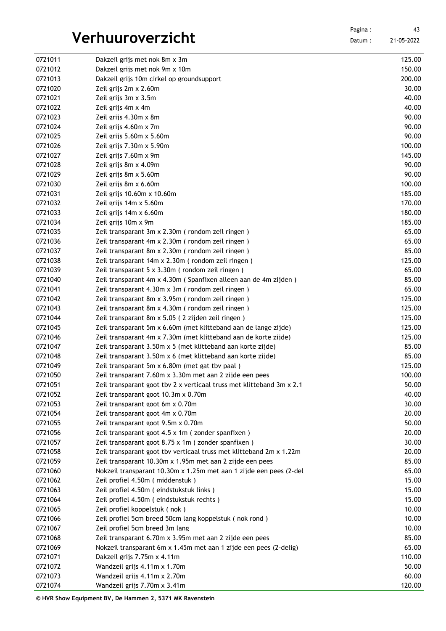Datum : 21-05-2022

| 0721022 | Zeil grijs 4m x 4m                                                    | 40.00  |
|---------|-----------------------------------------------------------------------|--------|
| 0721023 | Zeil grijs 4.30m x 8m                                                 | 90.00  |
| 0721024 | Zeil grijs 4.60m x 7m                                                 | 90.00  |
| 0721025 | Zeil grijs $5.60m \times 5.60m$                                       | 90.00  |
| 0721026 | Zeil grijs $7.30m \times 5.90m$                                       | 100.00 |
| 0721027 | Zeil grijs 7.60m x 9m                                                 | 145.00 |
| 0721028 | Zeil grijs 8m x 4.09m                                                 | 90.00  |
| 0721029 | Zeil grijs 8m x 5.60m                                                 | 90.00  |
| 0721030 | Zeil grijs 8m x 6.60m                                                 | 100.00 |
| 0721031 | Zeil grijs 10.60m x 10.60m                                            | 185.00 |
| 0721032 | Zeil grijs 14m x 5.60m                                                | 170.00 |
| 0721033 | Zeil grijs 14m x 6.60m                                                | 180.00 |
| 0721034 | Zeil grijs 10m x 9m                                                   | 185.00 |
| 0721035 | Zeil transparant 3m x 2.30m (rondom zeil ringen)                      | 65.00  |
| 0721036 | Zeil transparant 4m x 2.30m (rondom zeil ringen)                      | 65.00  |
| 0721037 | Zeil transparant 8m x 2.30m (rondom zeil ringen)                      | 85.00  |
| 0721038 | Zeil transparant 14m x 2.30m (rondom zeil ringen)                     | 125.00 |
| 0721039 | Zeil transparant 5 x 3.30m (rondom zeil ringen)                       | 65.00  |
| 0721040 | Zeil transparant 4m x 4.30m (Spanfixen alleen aan de 4m zijden)       | 85.00  |
| 0721041 | Zeil transparant 4.30m x 3m (rondom zeil ringen)                      | 65.00  |
| 0721042 | Zeil transparant 8m x 3.95m (rondom zeil ringen)                      | 125.00 |
| 0721043 | Zeil transparant 8m x 4.30m (rondom zeil ringen)                      | 125.00 |
| 0721044 | Zeil transparant 8m x 5.05 (2 zijden zeil ringen)                     | 125.00 |
| 0721045 | Zeil transparant 5m x 6.60m (met klitteband aan de lange zijde)       | 125.00 |
| 0721046 | Zeil transparant 4m x 7.30m (met klitteband aan de korte zijde)       | 125.00 |
| 0721047 | Zeil transparant 3.50m x 5 (met klitteband aan korte zijde)           | 85.00  |
| 0721048 | Zeil transparant 3.50m x 6 (met klitteband aan korte zijde)           | 85.00  |
| 0721049 | Zeil transparant 5m x 6.80m (met gat tby paal)                        | 125.00 |
| 0721050 | Zeil transparant 7.60m x 3.30m met aan 2 zijde een pees               | 100.00 |
| 0721051 | Zeil transparant goot tby 2 x verticaal truss met klitteband 3m x 2.1 | 50.00  |
| 0721052 | Zeil transparant goot 10.3m x 0.70m                                   | 40.00  |
| 0721053 | Zeil transparant goot 6m x 0.70m                                      | 30.00  |
| 0721054 | Zeil transparant goot 4m x 0.70m                                      | 20.00  |
| 0721055 | Zeil transparant goot 9.5m x 0.70m                                    | 50.00  |
| 0721056 | Zeil transparant goot 4.5 x 1m (zonder spanfixen)                     | 20.00  |
| 0721057 | Zeil transparant goot 8.75 x 1m ( zonder spanfixen )                  | 30.00  |
| 0721058 | Zeil transparant goot tby verticaal truss met klitteband 2m x 1.22m   | 20.00  |
| 0721059 | Zeil transparant 10.30m x 1.95m met aan 2 zijde een pees              | 85.00  |
| 0721060 | Nokzeil transparant 10.30m x 1.25m met aan 1 zijde een pees (2-del    | 65.00  |
| 0721062 | Zeil profiel 4.50m (middenstuk)                                       | 15.00  |
| 0721063 | Zeil profiel 4.50m (eindstukstuk links)                               | 15.00  |
| 0721064 | Zeil profiel 4.50m (eindstukstuk rechts)                              | 15.00  |
| 0721065 | Zeil profiel koppelstuk (nok)                                         | 10.00  |
| 0721066 | Zeil profiel 5cm breed 50cm lang koppelstuk (nok rond)                | 10.00  |
| 0721067 | Zeil profiel 5cm breed 3m lang                                        | 10.00  |
| 0721068 | Zeil transparant 6.70m x 3.95m met aan 2 zijde een pees               | 85.00  |
| 0721069 | Nokzeil transparant 6m x 1.45m met aan 1 zijde een pees (2-delig)     | 65.00  |
| 0721071 | Dakzeil grijs 7.75m x 4.11m                                           | 110.00 |
| 0721072 | Wandzeil grijs 4.11m x 1.70m                                          | 50.00  |
| 0721073 |                                                                       | 60.00  |
| 0721074 | Wandzeil grijs 4.11m x 2.70m<br>Wandzeil grijs 7.70m x 3.41m          | 120.00 |

0721011 Dakzeil grijs met nok 8m x 3m 125.00 0721012 Dakzeil grijs met nok 9m x 10m 150.00 Dakzeil grijs 10m cirkel op groundsupport 200.00 0721020 Zeil grijs 2m x 2.60m 30.00  $\frac{1}{2}$ Zeil grijs 3m x 3.5m 40.00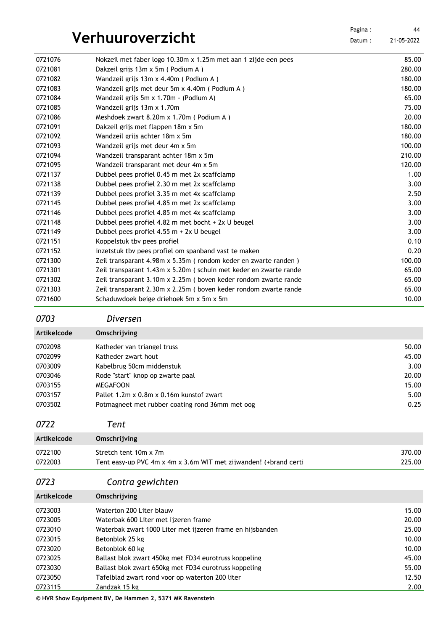|                    |                                                                                                     | Pagina: | 44               |
|--------------------|-----------------------------------------------------------------------------------------------------|---------|------------------|
|                    | Verhuuroverzicht                                                                                    | Datum:  | 21-05-2022       |
|                    |                                                                                                     |         |                  |
| 0721076<br>0721081 | Nokzeil met faber logo 10.30m x 1.25m met aan 1 zijde een pees<br>Dakzeil grijs 13m x 5m (Podium A) |         | 85.00<br>280.00  |
| 0721082            | Wandzeil grijs 13m x 4.40m (Podium A)                                                               |         | 180.00           |
| 0721083            | Wandzeil grijs met deur 5m x 4.40m (Podium A)                                                       |         | 180.00           |
| 0721084            | Wandzeil grijs 5m x 1.70m - (Podium A)                                                              |         | 65.00            |
| 0721085            | Wandzeil grijs 13m x 1.70m                                                                          |         | 75.00            |
| 0721086            | Meshdoek zwart 8.20m x 1.70m (Podium A)                                                             |         | 20.00            |
| 0721091            | Dakzeil grijs met flappen 18m x 5m                                                                  |         | 180.00           |
| 0721092            | Wandzeil grijs achter 18m x 5m                                                                      |         | 180.00           |
| 0721093            | Wandzeil grijs met deur 4m x 5m                                                                     |         | 100.00           |
| 0721094            | Wandzeil transparant achter 18m x 5m                                                                |         | 210.00           |
| 0721095            | Wandzeil transparant met deur 4m x 5m                                                               |         | 120.00           |
| 0721137            | Dubbel pees profiel 0.45 m met 2x scaffclamp                                                        |         | 1.00             |
| 0721138            | Dubbel pees profiel 2.30 m met 2x scaffclamp                                                        |         | 3.00             |
| 0721139            | Dubbel pees profiel 3.35 m met 4x scaffclamp                                                        |         | 2.50             |
| 0721145            | Dubbel pees profiel 4.85 m met 2x scaffclamp                                                        |         | 3.00             |
| 0721146            | Dubbel pees profiel 4.85 m met 4x scaffclamp                                                        |         | 3.00             |
| 0721148            | Dubbel pees profiel 4.82 m met bocht + 2x U beugel                                                  |         | 3.00             |
| 0721149            | Dubbel pees profiel $4.55$ m + 2x U beugel                                                          |         | 3.00             |
| 0721151            | Koppelstuk tby pees profiel                                                                         |         | 0.10             |
| 0721152            | inzetstuk tby pees profiel om spanband vast te maken                                                |         | 0.20             |
| 0721300            | Zeil transparant 4.98m x 5.35m (rondom keder en zwarte randen)                                      |         | 100.00           |
| 0721301            | Zeil transparant 1.43m x 5.20m (schuin met keder en zwarte rande                                    |         | 65.00            |
| 0721302            | Zeil transparant 3.10m x 2.25m ( boven keder rondom zwarte rande                                    |         | 65.00            |
| 0721303            | Zeil transparant 2.30m x 2.25m (boven keder rondom zwarte rande                                     |         | 65.00            |
| 0721600            | Schaduwdoek beige driehoek 5m x 5m x 5m                                                             |         | 10.00            |
|                    |                                                                                                     |         |                  |
| 0703               | Diversen                                                                                            |         |                  |
| Artikelcode        | Omschrijving                                                                                        |         |                  |
| 0702098            | Katheder van triangel truss                                                                         |         | 50.00            |
| 0702099            | Katheder zwart hout                                                                                 |         | 45.00            |
| 0703009            | Kabelbrug 50cm middenstuk                                                                           |         | 3.00             |
| 0703046            | Rode "start" knop op zwarte paal                                                                    |         | 20.00            |
| 0703155            | <b>MEGAFOON</b>                                                                                     |         | 15.00            |
| 0703157            | Pallet 1.2m x 0.8m x 0.16m kunstof zwart                                                            |         | 5.00             |
| 0703502            | Potmagneet met rubber coating rond 36mm met oog                                                     |         | 0.25             |
| 0722               | Tent                                                                                                |         |                  |
| Artikelcode        | Omschrijving                                                                                        |         |                  |
|                    |                                                                                                     |         |                  |
| 0722100<br>0722003 | Stretch tent 10m x 7m<br>Tent easy-up PVC 4m x 4m x 3.6m WIT met zijwanden! (+brand certi           |         | 370.00<br>225.00 |
|                    |                                                                                                     |         |                  |
| 0723               | Contra gewichten                                                                                    |         |                  |
| Artikelcode        | Omschrijving                                                                                        |         |                  |
| 0723003            | Waterton 200 Liter blauw                                                                            |         | 15.00            |
| 0723005            | Waterbak 600 Liter met jizeren frame                                                                |         | 20.00            |
| 0723010            | Waterbak zwart 1000 Liter met ijzeren frame en hijsbanden                                           |         | 25.00            |
| 0723015            | Betonblok 25 kg                                                                                     |         | 10.00            |
| 0723020            | Betonblok 60 kg                                                                                     |         | 10.00            |
| 0723025            | Ballast blok zwart 450kg met FD34 eurotruss koppeling                                               |         | 45.00            |
| 0723030            | Ballast blok zwart 650kg met FD34 eurotruss koppeling                                               |         | 55.00            |

0723050 Tafelblad zwart rond voor op waterton 200 liter 12.50 Zandzak 15 kg 2.00

**© HVR Show Equipment BV, De Hammen 2, 5371 MK Ravenstein**